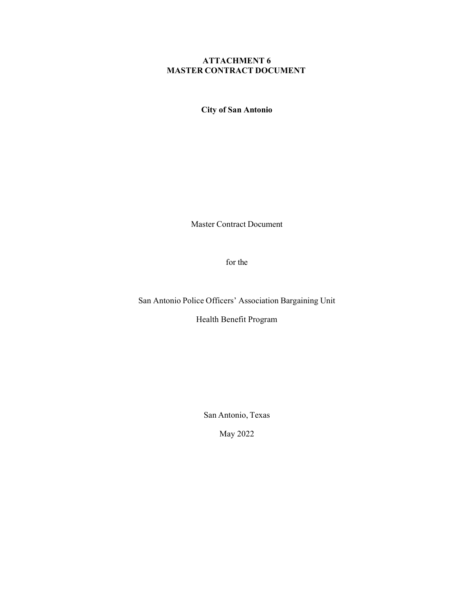# ATTACHMENT 6 MASTER CONTRACT DOCUMENT

City of San Antonio

Master Contract Document

for the

San Antonio Police Officers' Association Bargaining Unit

Health Benefit Program

San Antonio, Texas

May 2022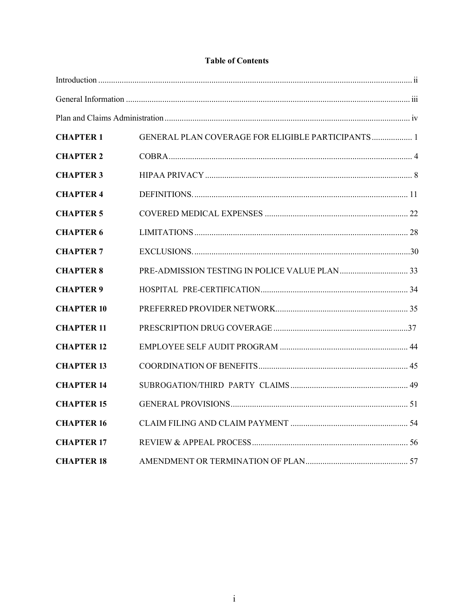# **Table of Contents**

| <b>CHAPTER 1</b>  | GENERAL PLAN COVERAGE FOR ELIGIBLE PARTICIPANTS 1 |  |
|-------------------|---------------------------------------------------|--|
| <b>CHAPTER 2</b>  |                                                   |  |
| <b>CHAPTER 3</b>  |                                                   |  |
| <b>CHAPTER 4</b>  |                                                   |  |
| <b>CHAPTER 5</b>  |                                                   |  |
| <b>CHAPTER 6</b>  |                                                   |  |
| <b>CHAPTER 7</b>  |                                                   |  |
| <b>CHAPTER 8</b>  |                                                   |  |
| <b>CHAPTER 9</b>  |                                                   |  |
| <b>CHAPTER 10</b> |                                                   |  |
| <b>CHAPTER 11</b> |                                                   |  |
| <b>CHAPTER 12</b> |                                                   |  |
| <b>CHAPTER 13</b> |                                                   |  |
| <b>CHAPTER 14</b> |                                                   |  |
| <b>CHAPTER 15</b> |                                                   |  |
| <b>CHAPTER 16</b> |                                                   |  |
| <b>CHAPTER 17</b> |                                                   |  |
| <b>CHAPTER 18</b> |                                                   |  |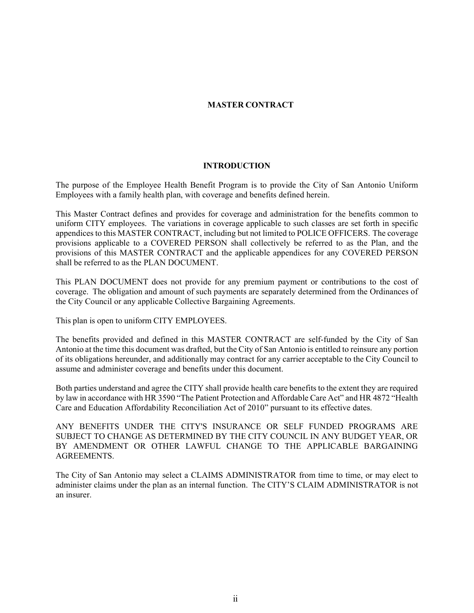# MASTER CONTRACT

#### INTRODUCTION

The purpose of the Employee Health Benefit Program is to provide the City of San Antonio Uniform Employees with a family health plan, with coverage and benefits defined herein.

This Master Contract defines and provides for coverage and administration for the benefits common to uniform CITY employees. The variations in coverage applicable to such classes are set forth in specific appendices to this MASTER CONTRACT, including but not limited to POLICE OFFICERS. The coverage provisions applicable to a COVERED PERSON shall collectively be referred to as the Plan, and the provisions of this MASTER CONTRACT and the applicable appendices for any COVERED PERSON shall be referred to as the PLAN DOCUMENT.

This PLAN DOCUMENT does not provide for any premium payment or contributions to the cost of coverage. The obligation and amount of such payments are separately determined from the Ordinances of the City Council or any applicable Collective Bargaining Agreements.

This plan is open to uniform CITY EMPLOYEES.

The benefits provided and defined in this MASTER CONTRACT are self-funded by the City of San Antonio at the time this document was drafted, but the City of San Antonio is entitled to reinsure any portion of its obligations hereunder, and additionally may contract for any carrier acceptable to the City Council to assume and administer coverage and benefits under this document.

Both parties understand and agree the CITY shall provide health care benefits to the extent they are required by law in accordance with HR 3590 "The Patient Protection and Affordable Care Act" and HR 4872 "Health Care and Education Affordability Reconciliation Act of 2010" pursuant to its effective dates.

ANY BENEFITS UNDER THE CITY'S INSURANCE OR SELF FUNDED PROGRAMS ARE SUBJECT TO CHANGE AS DETERMINED BY THE CITY COUNCIL IN ANY BUDGET YEAR, OR BY AMENDMENT OR OTHER LAWFUL CHANGE TO THE APPLICABLE BARGAINING AGREEMENTS.

The City of San Antonio may select a CLAIMS ADMINISTRATOR from time to time, or may elect to administer claims under the plan as an internal function. The CITY'S CLAIM ADMINISTRATOR is not an insurer.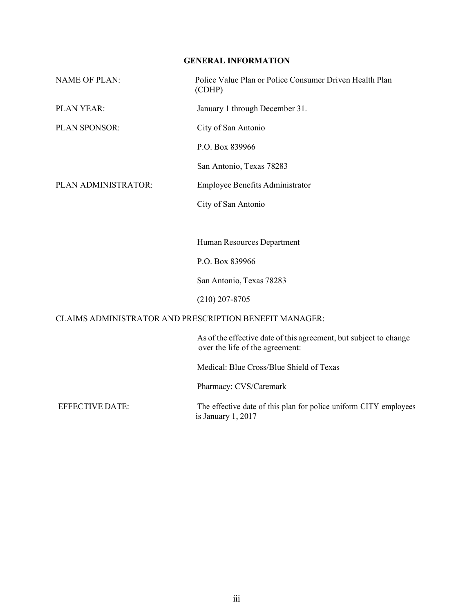# GENERAL INFORMATION

| <b>NAME OF PLAN:</b>   | Police Value Plan or Police Consumer Driven Health Plan<br>(CDHP)                                    |
|------------------------|------------------------------------------------------------------------------------------------------|
| PLAN YEAR:             | January 1 through December 31.                                                                       |
| PLAN SPONSOR:          | City of San Antonio                                                                                  |
|                        | P.O. Box 839966                                                                                      |
|                        | San Antonio, Texas 78283                                                                             |
| PLAN ADMINISTRATOR:    | Employee Benefits Administrator                                                                      |
|                        | City of San Antonio                                                                                  |
|                        |                                                                                                      |
|                        | Human Resources Department                                                                           |
|                        | P.O. Box 839966                                                                                      |
|                        | San Antonio, Texas 78283                                                                             |
|                        | $(210)$ 207-8705                                                                                     |
|                        | CLAIMS ADMINISTRATOR AND PRESCRIPTION BENEFIT MANAGER:                                               |
|                        | As of the effective date of this agreement, but subject to change<br>over the life of the agreement: |
|                        | Medical: Blue Cross/Blue Shield of Texas                                                             |
|                        | Pharmacy: CVS/Caremark                                                                               |
| <b>EFFECTIVE DATE:</b> | The effective date of this plan for police uniform CITY employees<br>is January 1, 2017              |
|                        |                                                                                                      |
|                        |                                                                                                      |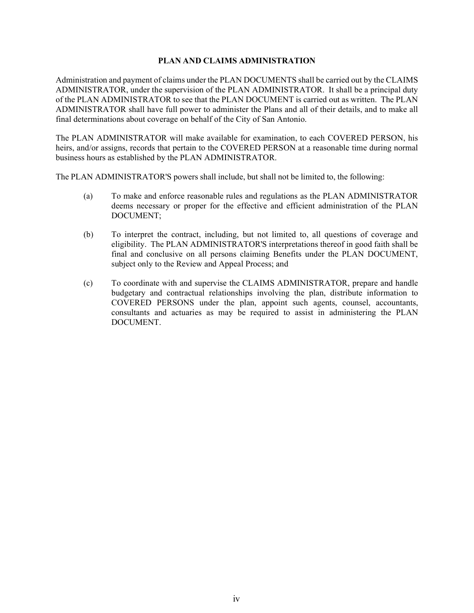## PLAN AND CLAIMS ADMINISTRATION

Administration and payment of claims under the PLAN DOCUMENTS shall be carried out by the CLAIMS ADMINISTRATOR, under the supervision of the PLAN ADMINISTRATOR. It shall be a principal duty of the PLAN ADMINISTRATOR to see that the PLAN DOCUMENT is carried out as written. The PLAN ADMINISTRATOR shall have full power to administer the Plans and all of their details, and to make all final determinations about coverage on behalf of the City of San Antonio.

The PLAN ADMINISTRATOR will make available for examination, to each COVERED PERSON, his heirs, and/or assigns, records that pertain to the COVERED PERSON at a reasonable time during normal business hours as established by the PLAN ADMINISTRATOR.

The PLAN ADMINISTRATOR'S powers shall include, but shall not be limited to, the following:

- (a) To make and enforce reasonable rules and regulations as the PLAN ADMINISTRATOR deems necessary or proper for the effective and efficient administration of the PLAN DOCUMENT;
- (b) To interpret the contract, including, but not limited to, all questions of coverage and eligibility. The PLAN ADMINISTRATOR'S interpretations thereof in good faith shall be final and conclusive on all persons claiming Benefits under the PLAN DOCUMENT, subject only to the Review and Appeal Process; and
- (c) To coordinate with and supervise the CLAIMS ADMINISTRATOR, prepare and handle budgetary and contractual relationships involving the plan, distribute information to COVERED PERSONS under the plan, appoint such agents, counsel, accountants, consultants and actuaries as may be required to assist in administering the PLAN DOCUMENT.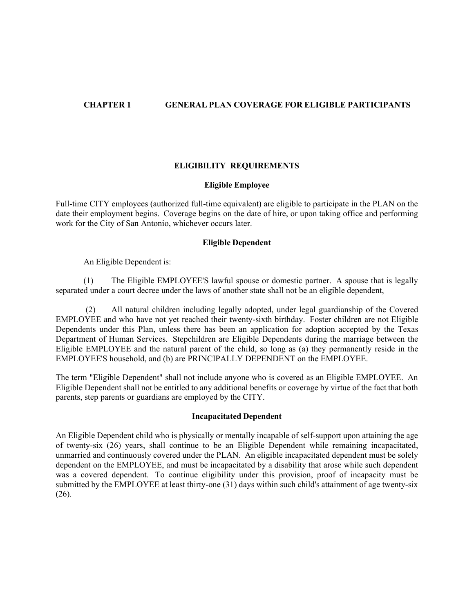# CHAPTER 1 GENERAL PLAN COVERAGE FOR ELIGIBLE PARTICIPANTS

## ELIGIBILITY REQUIREMENTS

## Eligible Employee

Full-time CITY employees (authorized full-time equivalent) are eligible to participate in the PLAN on the date their employment begins. Coverage begins on the date of hire, or upon taking office and performing work for the City of San Antonio, whichever occurs later.

## Eligible Dependent

An Eligible Dependent is:

(1) The Eligible EMPLOYEE'S lawful spouse or domestic partner. A spouse that is legally separated under a court decree under the laws of another state shall not be an eligible dependent,

(2) All natural children including legally adopted, under legal guardianship of the Covered EMPLOYEE and who have not yet reached their twenty-sixth birthday. Foster children are not Eligible Dependents under this Plan, unless there has been an application for adoption accepted by the Texas Department of Human Services. Stepchildren are Eligible Dependents during the marriage between the Eligible EMPLOYEE and the natural parent of the child, so long as (a) they permanently reside in the EMPLOYEE'S household, and (b) are PRINCIPALLY DEPENDENT on the EMPLOYEE.

The term "Eligible Dependent" shall not include anyone who is covered as an Eligible EMPLOYEE. An Eligible Dependent shall not be entitled to any additional benefits or coverage by virtue of the fact that both parents, step parents or guardians are employed by the CITY.

#### Incapacitated Dependent

An Eligible Dependent child who is physically or mentally incapable of self-support upon attaining the age of twenty-six (26) years, shall continue to be an Eligible Dependent while remaining incapacitated, unmarried and continuously covered under the PLAN. An eligible incapacitated dependent must be solely dependent on the EMPLOYEE, and must be incapacitated by a disability that arose while such dependent was a covered dependent. To continue eligibility under this provision, proof of incapacity must be submitted by the EMPLOYEE at least thirty-one (31) days within such child's attainment of age twenty-six (26).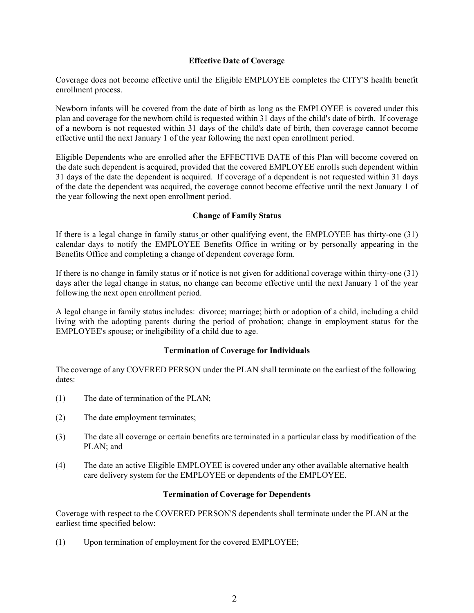## Effective Date of Coverage

Coverage does not become effective until the Eligible EMPLOYEE completes the CITY'S health benefit enrollment process.

Newborn infants will be covered from the date of birth as long as the EMPLOYEE is covered under this plan and coverage for the newborn child is requested within 31 days of the child's date of birth. If coverage of a newborn is not requested within 31 days of the child's date of birth, then coverage cannot become effective until the next January 1 of the year following the next open enrollment period.

Eligible Dependents who are enrolled after the EFFECTIVE DATE of this Plan will become covered on the date such dependent is acquired, provided that the covered EMPLOYEE enrolls such dependent within 31 days of the date the dependent is acquired. If coverage of a dependent is not requested within 31 days of the date the dependent was acquired, the coverage cannot become effective until the next January 1 of the year following the next open enrollment period.

## Change of Family Status

If there is a legal change in family status or other qualifying event, the EMPLOYEE has thirty-one (31) calendar days to notify the EMPLOYEE Benefits Office in writing or by personally appearing in the Benefits Office and completing a change of dependent coverage form.

If there is no change in family status or if notice is not given for additional coverage within thirty-one (31) days after the legal change in status, no change can become effective until the next January 1 of the year following the next open enrollment period.

A legal change in family status includes: divorce; marriage; birth or adoption of a child, including a child living with the adopting parents during the period of probation; change in employment status for the EMPLOYEE's spouse; or ineligibility of a child due to age.

## Termination of Coverage for Individuals

The coverage of any COVERED PERSON under the PLAN shall terminate on the earliest of the following dates:

- (1) The date of termination of the PLAN;
- (2) The date employment terminates;
- (3) The date all coverage or certain benefits are terminated in a particular class by modification of the PLAN; and
- (4) The date an active Eligible EMPLOYEE is covered under any other available alternative health care delivery system for the EMPLOYEE or dependents of the EMPLOYEE.

## Termination of Coverage for Dependents

Coverage with respect to the COVERED PERSON'S dependents shall terminate under the PLAN at the earliest time specified below:

(1) Upon termination of employment for the covered EMPLOYEE;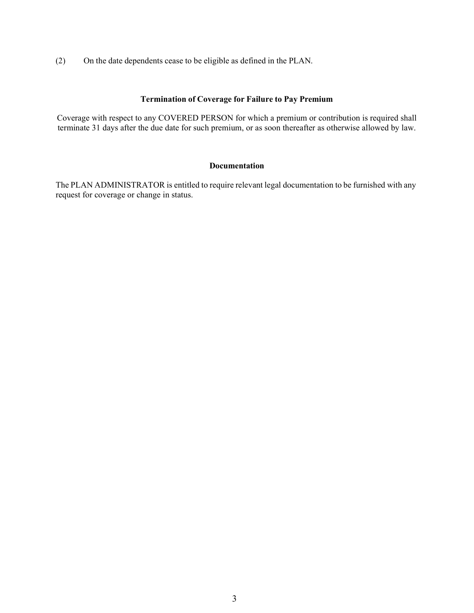(2) On the date dependents cease to be eligible as defined in the PLAN.

# Termination of Coverage for Failure to Pay Premium

Coverage with respect to any COVERED PERSON for which a premium or contribution is required shall terminate 31 days after the due date for such premium, or as soon thereafter as otherwise allowed by law.

## Documentation

The PLAN ADMINISTRATOR is entitled to require relevant legal documentation to be furnished with any request for coverage or change in status.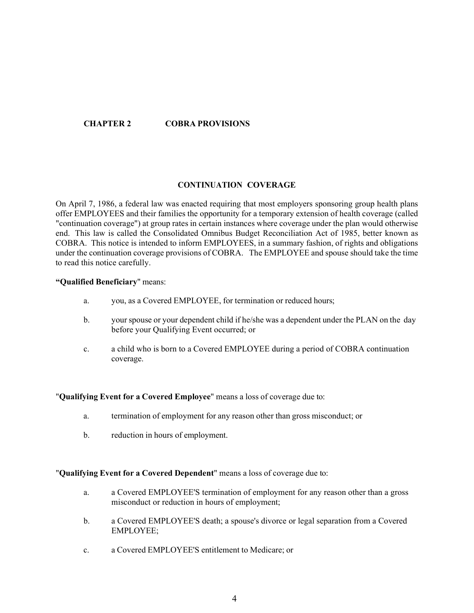# CHAPTER 2 COBRA PROVISIONS

## CONTINUATION COVERAGE

On April 7, 1986, a federal law was enacted requiring that most employers sponsoring group health plans offer EMPLOYEES and their families the opportunity for a temporary extension of health coverage (called "continuation coverage") at group rates in certain instances where coverage under the plan would otherwise end. This law is called the Consolidated Omnibus Budget Reconciliation Act of 1985, better known as COBRA. This notice is intended to inform EMPLOYEES, in a summary fashion, of rights and obligations under the continuation coverage provisions of COBRA. The EMPLOYEE and spouse should take the time to read this notice carefully.

#### Qualified Beneficiary" means:

- a. you, as a Covered EMPLOYEE, for termination or reduced hours;
- b. your spouse or your dependent child if he/she was a dependent under the PLAN on the day before your Qualifying Event occurred; or
- c. a child who is born to a Covered EMPLOYEE during a period of COBRA continuation coverage.<br>"Qualifying Event for a Covered Emplovee" means a loss of coverage due to:

- a. termination of employment for any reason other than gross misconduct; or
- 

b. reduction in hours of employment.<br>"Qualifying Event for a Covered Dependent" means a loss of coverage due to:

- a. a Covered EMPLOYEE'S termination of employment for any reason other than a gross misconduct or reduction in hours of employment;
- b. a Covered EMPLOYEE'S death; a spouse's divorce or legal separation from a Covered EMPLOYEE;
- c. a Covered EMPLOYEE'S entitlement to Medicare; or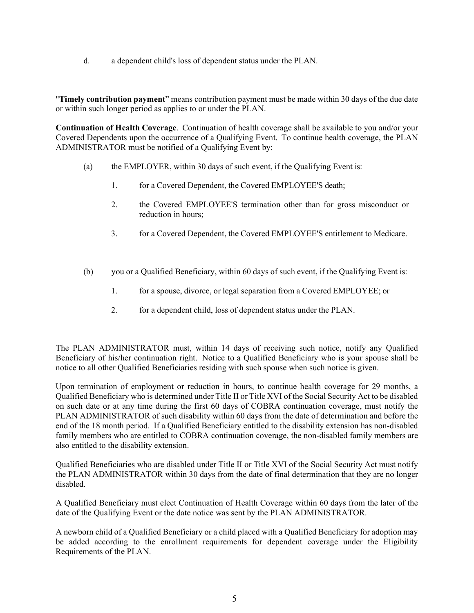d. a dependent child's loss of dependent status under the PLAN.<br>"Timely contribution payment" means contribution payment must be made within 30 days of the due date or within such longer period as applies to or under the PLAN.

Continuation of Health Coverage. Continuation of health coverage shall be available to you and/or your Covered Dependents upon the occurrence of a Qualifying Event. To continue health coverage, the PLAN ADMINISTRATOR must be notified of a Qualifying Event by:

- (a) the EMPLOYER, within 30 days of such event, if the Qualifying Event is:
	- 1. for a Covered Dependent, the Covered EMPLOYEE'S death;
	- 2. the Covered EMPLOYEE'S termination other than for gross misconduct or reduction in hours;
	- 3. for a Covered Dependent, the Covered EMPLOYEE'S entitlement to Medicare.
- (b) you or a Qualified Beneficiary, within 60 days of such event, if the Qualifying Event is:
	- 1. for a spouse, divorce, or legal separation from a Covered EMPLOYEE; or
	- 2. for a dependent child, loss of dependent status under the PLAN.

The PLAN ADMINISTRATOR must, within 14 days of receiving such notice, notify any Qualified Beneficiary of his/her continuation right. Notice to a Qualified Beneficiary who is your spouse shall be notice to all other Qualified Beneficiaries residing with such spouse when such notice is given.

Upon termination of employment or reduction in hours, to continue health coverage for 29 months, a Qualified Beneficiary who is determined under Title II or Title XVI of the Social Security Act to be disabled on such date or at any time during the first 60 days of COBRA continuation coverage, must notify the PLAN ADMINISTRATOR of such disability within 60 days from the date of determination and before the end of the 18 month period. If a Qualified Beneficiary entitled to the disability extension has non-disabled family members who are entitled to COBRA continuation coverage, the non-disabled family members are also entitled to the disability extension.

Qualified Beneficiaries who are disabled under Title II or Title XVI of the Social Security Act must notify the PLAN ADMINISTRATOR within 30 days from the date of final determination that they are no longer disabled.

A Qualified Beneficiary must elect Continuation of Health Coverage within 60 days from the later of the date of the Qualifying Event or the date notice was sent by the PLAN ADMINISTRATOR.

A newborn child of a Qualified Beneficiary or a child placed with a Qualified Beneficiary for adoption may be added according to the enrollment requirements for dependent coverage under the Eligibility Requirements of the PLAN.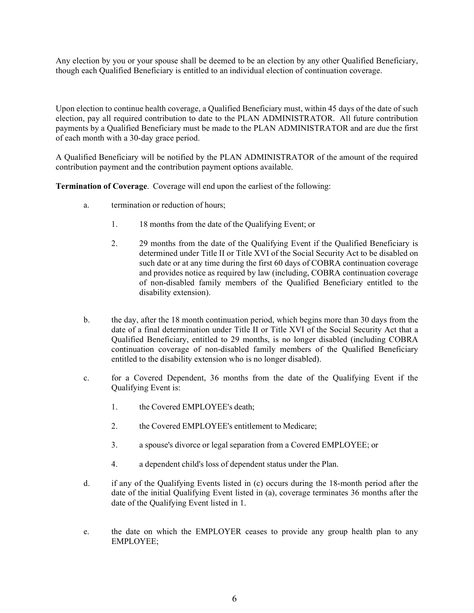Any election by you or your spouse shall be deemed to be an election by any other Qualified Beneficiary, though each Qualified Beneficiary is entitled to an individual election of continuation coverage.

Upon election to continue health coverage, a Qualified Beneficiary must, within 45 days of the date of such election, pay all required contribution to date to the PLAN ADMINISTRATOR. All future contribution payments by a Qualified Beneficiary must be made to the PLAN ADMINISTRATOR and are due the first of each month with a 30-day grace period.

A Qualified Beneficiary will be notified by the PLAN ADMINISTRATOR of the amount of the required contribution payment and the contribution payment options available.

Termination of Coverage. Coverage will end upon the earliest of the following:

- a. termination or reduction of hours;
	- 1. 18 months from the date of the Qualifying Event; or
	- 2. 29 months from the date of the Qualifying Event if the Qualified Beneficiary is determined under Title II or Title XVI of the Social Security Act to be disabled on such date or at any time during the first 60 days of COBRA continuation coverage and provides notice as required by law (including, COBRA continuation coverage of non-disabled family members of the Qualified Beneficiary entitled to the disability extension).
- b. the day, after the 18 month continuation period, which begins more than 30 days from the date of a final determination under Title II or Title XVI of the Social Security Act that a Qualified Beneficiary, entitled to 29 months, is no longer disabled (including COBRA continuation coverage of non-disabled family members of the Qualified Beneficiary entitled to the disability extension who is no longer disabled).
- c. for a Covered Dependent, 36 months from the date of the Qualifying Event if the Qualifying Event is:
	- 1. the Covered EMPLOYEE's death;
	- 2. the Covered EMPLOYEE's entitlement to Medicare;
	- 3. a spouse's divorce or legal separation from a Covered EMPLOYEE; or
	- 4. a dependent child's loss of dependent status under the Plan.
- d. if any of the Qualifying Events listed in (c) occurs during the 18-month period after the date of the initial Qualifying Event listed in (a), coverage terminates 36 months after the date of the Qualifying Event listed in 1.
- e. the date on which the EMPLOYER ceases to provide any group health plan to any EMPLOYEE;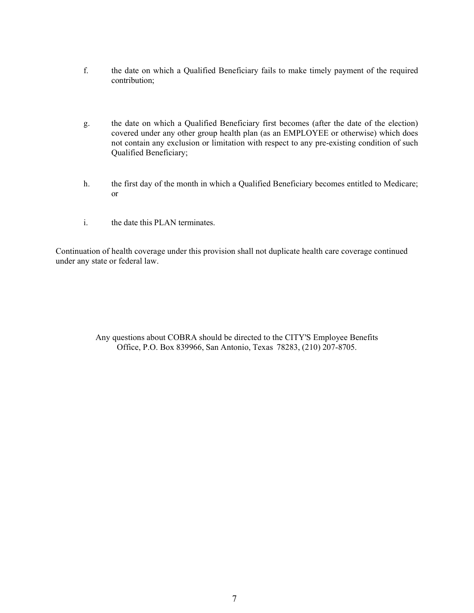- f. the date on which a Qualified Beneficiary fails to make timely payment of the required contribution;
- g. the date on which a Qualified Beneficiary first becomes (after the date of the election) covered under any other group health plan (as an EMPLOYEE or otherwise) which does not contain any exclusion or limitation with respect to any pre-existing condition of such Qualified Beneficiary;
- h. the first day of the month in which a Qualified Beneficiary becomes entitled to Medicare; or
- i. the date this PLAN terminates.

Continuation of health coverage under this provision shall not duplicate health care coverage continued under any state or federal law.

> Any questions about COBRA should be directed to the CITY'S Employee Benefits Office, P.O. Box 839966, San Antonio, Texas 78283, (210) 207-8705.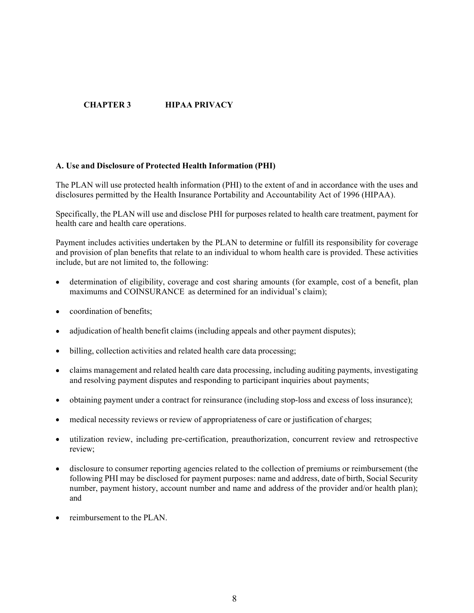# CHAPTER 3 HIPAA PRIVACY

## A. Use and Disclosure of Protected Health Information (PHI)

The PLAN will use protected health information (PHI) to the extent of and in accordance with the uses and disclosures permitted by the Health Insurance Portability and Accountability Act of 1996 (HIPAA).

Specifically, the PLAN will use and disclose PHI for purposes related to health care treatment, payment for health care and health care operations.

Payment includes activities undertaken by the PLAN to determine or fulfill its responsibility for coverage and provision of plan benefits that relate to an individual to whom health care is provided. These activities include, but are not limited to, the following:

- determination of eligibility, coverage and cost sharing amounts (for example, cost of a benefit, plan maximums and COINSURANCE as determined for an individual's claim).
- coordination of benefits;
- adjudication of health benefit claims (including appeals and other payment disputes);
- billing, collection activities and related health care data processing;  $\bullet$
- claims management and related health care data processing, including auditing payments, investigating and resolving payment disputes and responding to participant inquiries about payments;
- obtaining payment under a contract for reinsurance (including stop-loss and excess of loss insurance);
- medical necessity reviews or review of appropriateness of care or justification of charges;
- utilization review, including pre-certification, preauthorization, concurrent review and retrospective review;
- disclosure to consumer reporting agencies related to the collection of premiums or reimbursement (the following PHI may be disclosed for payment purposes: name and address, date of birth, Social Security number, payment history, account number and name and address of the provider and/or health plan); and
- reimbursement to the PLAN.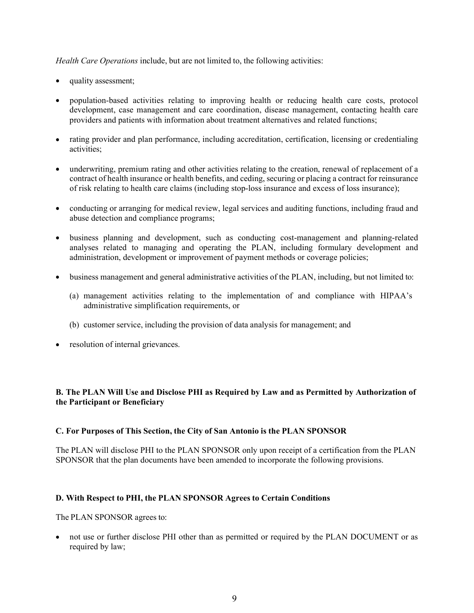Health Care Operations include, but are not limited to, the following activities:

- quality assessment;
- population-based activities relating to improving health or reducing health care costs, protocol development, case management and care coordination, disease management, contacting health care providers and patients with information about treatment alternatives and related functions;
- rating provider and plan performance, including accreditation, certification, licensing or credentialing activities;
- underwriting, premium rating and other activities relating to the creation, renewal of replacement of a contract of health insurance or health benefits, and ceding, securing or placing a contract for reinsurance of risk relating to health care claims (including stop-loss insurance and excess of loss insurance);
- conducting or arranging for medical review, legal services and auditing functions, including fraud and abuse detection and compliance programs;
- $\bullet$ business planning and development, such as conducting cost-management and planning-related analyses related to managing and operating the PLAN, including formulary development and administration, development or improvement of payment methods or coverage policies;
- business management and general administrative activities of the PLAN, including, but not limited to:  $\bullet$ 
	- (a) management activities relating to the implementation of and compliance with HIPAA's administrative simplification requirements, or
	- (b) customer service, including the provision of data analysis for management; and
- resolution of internal grievances.  $\bullet$

# B. The PLAN Will Use and Disclose PHI as Required by Law and as Permitted by Authorization of the Participant or Beneficiary

## C. For Purposes of This Section, the City of San Antonio is the PLAN SPONSOR

The PLAN will disclose PHI to the PLAN SPONSOR only upon receipt of a certification from the PLAN SPONSOR that the plan documents have been amended to incorporate the following provisions.

## D. With Respect to PHI, the PLAN SPONSOR Agrees to Certain Conditions

The PLAN SPONSOR agrees to:

not use or further disclose PHI other than as permitted or required by the PLAN DOCUMENT or as required by law;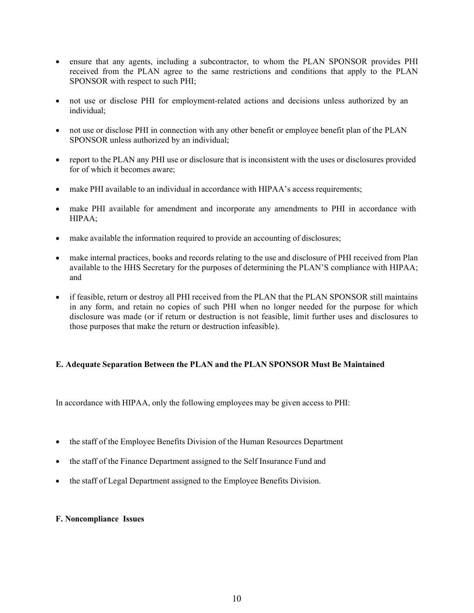- ensure that any agents, including a subcontractor, to whom the PLAN SPONSOR provides PHI received from the PLAN agree to the same restrictions and conditions that apply to the PLAN SPONSOR with respect to such PHI;
- not use or disclose PHI for employment-related actions and decisions unless authorized by an  $\bullet$ individual;
- not use or disclose PHI in connection with any other benefit or employee benefit plan of the PLAN SPONSOR unless authorized by an individual;
- report to the PLAN any PHI use or disclosure that is inconsistent with the uses or disclosures provided for of which it becomes aware;
- make PHI available to an individual in accordance with HIPAA's access requirements;  $\bullet$
- make PHI available for amendment and incorporate any amendments to PHI in accordance with HIPAA;
- make available the information required to provide an accounting of disclosures;
- make internal practices, books and records relating to the use and disclosure of PHI received from Plan available to the HHS Secretary for the purposes of determining the PLAN'S compliance with HIPAA; and
- if feasible, return or destroy all PHI received from the PLAN that the PLAN SPONSOR still maintains in any form, and retain no copies of such PHI when no longer needed for the purpose for which disclosure was made (or if return or destruction is not feasible, limit further uses and disclosures to those purposes that make the return or destruction infeasible).

## E. Adequate Separation Between the PLAN and the PLAN SPONSOR Must Be Maintained

In accordance with HIPAA, only the following employees may be given access to PHI:

- the staff of the Employee Benefits Division of the Human Resources Department  $\bullet$
- the staff of the Finance Department assigned to the Self Insurance Fund and
- the staff of Legal Department assigned to the Employee Benefits Division.

#### F. Noncompliance Issues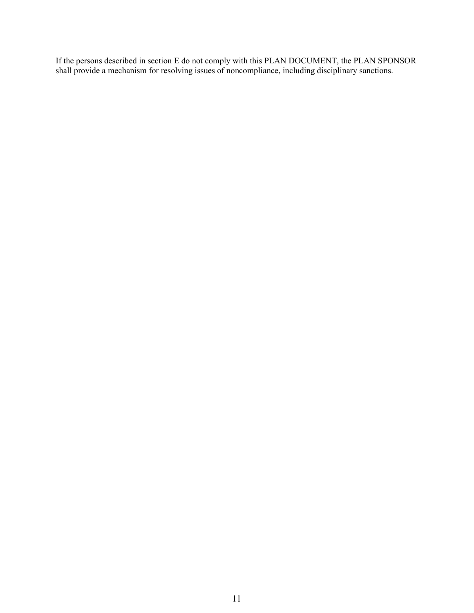If the persons described in section E do not comply with this PLAN DOCUMENT, the PLAN SPONSOR shall provide a mechanism for resolving issues of noncompliance, including disciplinary sanctions.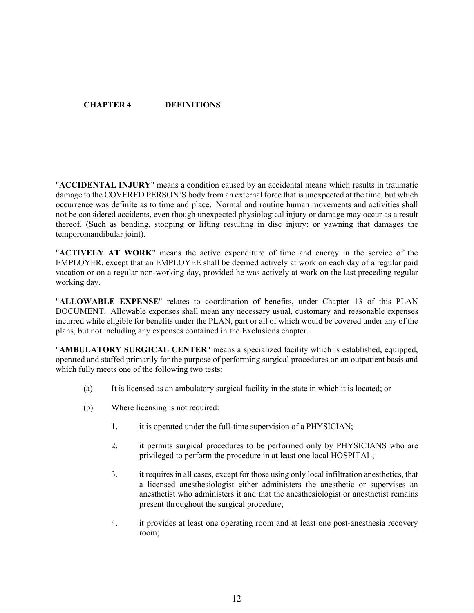# CHAPTER 4 DEFINITIONS

"ACCIDENTAL INJURY" means a condition caused by an accidental means which results in traumatic damage to the COVERED PERSON'S body from an external force that is unexpected at the time, but which occurrence was definite as to time and place. Normal and routine human movements and activities shall not be considered accidents, even though unexpected physiological injury or damage may occur as a result thereof. (Such as bending, stooping or lifting resulting in disc injury; or yawning that damages the temporomandibular joint).<br>"ACTIVELY AT WORK" means the active expenditure of time and energy in the service of the

EMPLOYER, except that an EMPLOYEE shall be deemed actively at work on each day of a regular paid vacation or on a regular non-working day, provided he was actively at work on the last preceding regular working day.<br>"ALLOWABLE EXPENSE" relates to coordination of benefits, under Chapter 13 of this PLAN

DOCUMENT. Allowable expenses shall mean any necessary usual, customary and reasonable expenses incurred while eligible for benefits under the PLAN, part or all of which would be covered under any of the plans, but not including any expenses contained in the Exclusions chapter.<br>"AMBULATORY SURGICAL CENTER" means a specialized facility which is established, equipped,

operated and staffed primarily for the purpose of performing surgical procedures on an outpatient basis and which fully meets one of the following two tests:

- (a) It is licensed as an ambulatory surgical facility in the state in which it is located; or
- (b) Where licensing is not required:
	- 1. it is operated under the full-time supervision of a PHYSICIAN;
	- 2. it permits surgical procedures to be performed only by PHYSICIANS who are privileged to perform the procedure in at least one local HOSPITAL;
	- 3. it requires in all cases, except for those using only local infiltration anesthetics, that a licensed anesthesiologist either administers the anesthetic or supervises an anesthetist who administers it and that the anesthesiologist or anesthetist remains present throughout the surgical procedure;
	- 4. it provides at least one operating room and at least one post-anesthesia recovery room;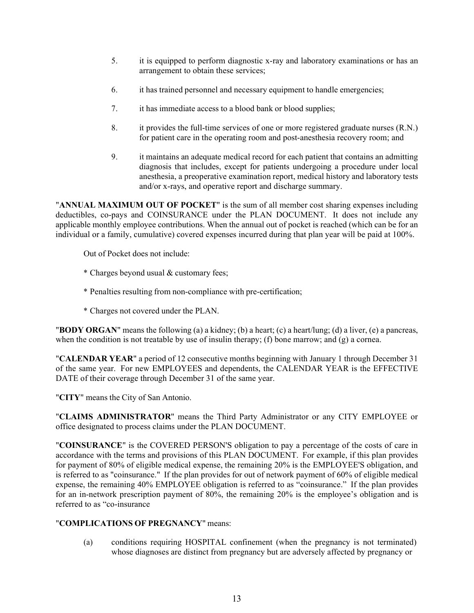- 5. it is equipped to perform diagnostic x-ray and laboratory examinations or has an arrangement to obtain these services;
- 6. it has trained personnel and necessary equipment to handle emergencies;
- 7. it has immediate access to a blood bank or blood supplies;
- 8. it provides the full-time services of one or more registered graduate nurses (R.N.) for patient care in the operating room and post-anesthesia recovery room; and
- 9. it maintains an adequate medical record for each patient that contains an admitting diagnosis that includes, except for patients undergoing a procedure under local anesthesia, a preoperative examination report, medical history and laboratory tests

"ANNUAL MAXIMUM OUT OF POCKET" is the sum of all member cost sharing expenses including deductibles, co-pays and COINSURANCE under the PLAN DOCUMENT. It does not include any applicable monthly employee contributions. When the annual out of pocket is reached (which can be for an individual or a family, cumulative) covered expenses incurred during that plan year will be paid at 100%.

Out of Pocket does not include:

- \* Charges beyond usual & customary fees;
- \* Penalties resulting from non-compliance with pre-certification;
- 

\* Charges not covered under the PLAN. "BODY ORGAN" means the following (a) a kidney; (b) a heart; (c) a heart/lung; (d) a liver, (e) a pancreas, when the condition is not treatable by use of insulin therapy; (f) bone marrow; and (g) a cornea.<br>"CALENDAR YEAR" a period of 12 consecutive months beginning with January 1 through December 31

of the same year. For new EMPLOYEES and dependents, the CALENDAR YEAR is the EFFECTIVE

DATE of their coverage through December 31 of the same year.<br>"CITY" means the City of San Antonio.<br>"CLAIMS ADMINISTRATOR" means the Third Party Administrator or any CITY EMPLOYEE or<br>office designated to process claims unde

"COINSURANCE" is the COVERED PERSON'S obligation to pay a percentage of the costs of care in accordance with the terms and provisions of this PLAN DOCUMENT. For example, if this plan provides for payment of 80% of eligible medical expense, the remaining 20% is the EMPLOYEE'S obligation, and is referred to as "coinsurance." If the plan provides for out of network payment of 60% of eligible medical expense, the remaining 40% EMPLOYEE obligation is referred to as "coinsurance." If the plan provides for an in-network prescription payment of  $80\%$ , the remaining  $20\%$  is the employee's obligation and is referred to as "co-insurance

# "COMPLICATIONS OF PREGNANCY" means:

(a) conditions requiring HOSPITAL confinement (when the pregnancy is not terminated) whose diagnoses are distinct from pregnancy but are adversely affected by pregnancy or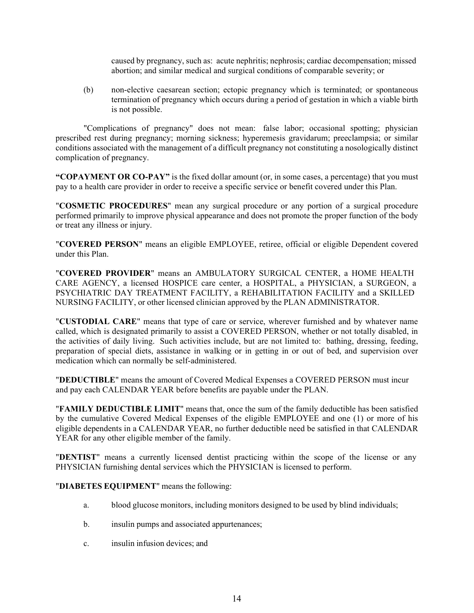caused by pregnancy, such as: acute nephritis; nephrosis; cardiac decompensation; missed abortion; and similar medical and surgical conditions of comparable severity; or

(b) non-elective caesarean section; ectopic pregnancy which is terminated; or spontaneous termination of pregnancy which occurs during a period of gestation in which a viable birth is not possible.

"Complications of pregnancy" does not mean: false labor; occasional spotting; physician prescribed rest during pregnancy; morning sickness; hyperemesis gravidarum; preeclampsia; or similar conditions associated with the management of a difficult pregnancy not constituting a nosologically distinct complication of pregnancy.

"COPAYMENT OR CO-PAY" is the fixed dollar amount (or, in some cases, a percentage) that you must pay to a health care provider in order to receive a specific service or benefit covered under this Plan.<br>"COSMETIC PROCEDURES" mean any surgical procedure or any portion of a surgical procedure

performed primarily to improve physical appearance and does not promote the proper function of the body or treat any illness or injury.<br>"COVERED PERSON" means an eligible EMPLOYEE, retiree, official or eligible Dependent covered

under this Plan.<br>"COVERED PROVIDER" means an AMBULATORY SURGICAL CENTER, a HOME HEALTH

CARE AGENCY, a licensed HOSPICE care center, a HOSPITAL, a PHYSICIAN, a SURGEON, a PSYCHIATRIC DAY TREATMENT FACILITY, a REHABILITATION FACILITY and a SKILLED NURSING FACILITY, or other licensed clinician approved by the PLAN ADMINISTRATOR. "CUSTODIAL CARE" means that type of care or service, wherever furnished and by whatever name

called, which is designated primarily to assist a COVERED PERSON, whether or not totally disabled, in the activities of daily living. Such activities include, but are not limited to: bathing, dressing, feeding, preparation of special diets, assistance in walking or in getting in or out of bed, and supervision over medication which can normally be self-administered.<br>"DEDUCTIBLE" means the amount of Covered Medical Expenses a COVERED PERSON must incur

and pay each CALENDAR YEAR before benefits are payable under the PLAN. "FAMILY DEDUCTIBLE LIMIT" means that, once the sum of the family deductible has been satisfied by the cumulative Covered Medical Expenses of the eligible EMPLOYEE and one (1) or more of his eligible dependents in a CALENDAR YEAR, no further deductible need be satisfied in that CALENDAR YEAR for any other eligible member of the family.<br>"DENTIST" means a currently licensed dentist practicing within the scope of the license or any

PHYSICIAN furnishing dental services which the PHYSICIAN is licensed to perform. "DIABETES EQUIPMENT" means the following:

- a. blood glucose monitors, including monitors designed to be used by blind individuals;
- b. insulin pumps and associated appurtenances;
- c. insulin infusion devices; and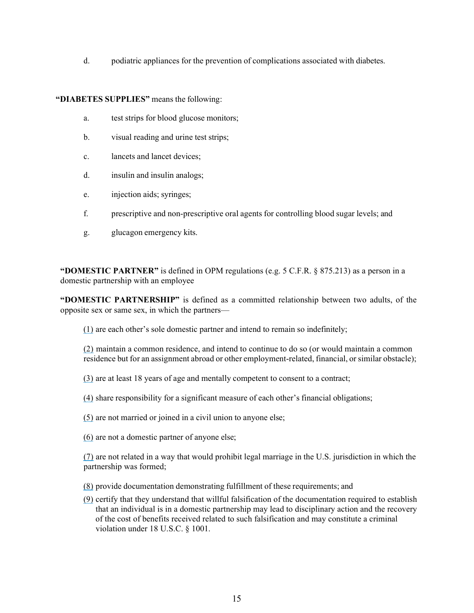d. podiatric appliances for the prevention of complications associated with diabetes.

"DIABETES SUPPLIES" means the following:

- a. test strips for blood glucose monitors;
- b. visual reading and urine test strips;
- c. lancets and lancet devices;
- d. insulin and insulin analogs;
- e. injection aids; syringes;
- f. prescriptive and non-prescriptive oral agents for controlling blood sugar levels; and
- g. glucagon emergency kits.

"DOMESTIC PARTNER" is defined in OPM regulations (e.g.  $5$  C.F.R.  $\S$  875.213) as a person in a domestic partnership with an employee

"DOMESTIC PARTNERSHIP" is defined as a committed relationship between two adults, of the opposite sex or same sex, in which the partners

 $(1)$  are each other's sole domestic partner and intend to remain so indefinitely;

(2) maintain a common residence, and intend to continue to do so (or would maintain a common residence but for an assignment abroad or other employment-related, financial, or similar obstacle);

- (3) are at least 18 years of age and mentally competent to consent to a contract;
- $(4)$  share responsibility for a significant measure of each other's financial obligations;
- (5) are not married or joined in a civil union to anyone else;
- (6) are not a domestic partner of anyone else;

(7) are not related in a way that would prohibit legal marriage in the U.S. jurisdiction in which the partnership was formed;

- (8) provide documentation demonstrating fulfillment of these requirements; and
- (9) certify that they understand that willful falsification of the documentation required to establish that an individual is in a domestic partnership may lead to disciplinary action and the recovery of the cost of benefits received related to such falsification and may constitute a criminal violation under 18 U.S.C. § 1001.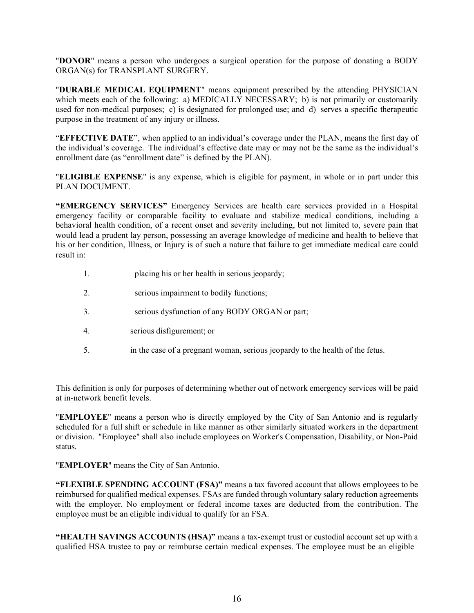"DONOR" means a person who undergoes a surgical operation for the purpose of donating a BODY

ORGAN(s) for TRANSPLANT SURGERY.<br>"DURABLE MEDICAL EQUIPMENT" means equipment prescribed by the attending PHYSICIAN which meets each of the following: a) MEDICALLY NECESSARY; b) is not primarily or customarily used for non-medical purposes; c) is designated for prolonged use; and d) serves a specific therapeutic purpose in the treatment of any injury or illness.<br>
"EFFECTIVE DATE", when applied to an individual's coverage under the PLAN, means the first day of

the individual's coverage. The individual's effective date may or may not be the same as the individual's enrollment date (as "enrollment date" is defined by the PLAN).<br>"ELIGIBLE EXPENSE" is any expense, which is eligible for payment, in whole or in part under this

PLAN DOCUMENT.

"EMERGENCY SERVICES" Emergency Services are health care services provided in a Hospital emergency facility or comparable facility to evaluate and stabilize medical conditions, including a behavioral health condition, of a recent onset and severity including, but not limited to, severe pain that would lead a prudent lay person, possessing an average knowledge of medicine and health to believe that his or her condition, Illness, or Injury is of such a nature that failure to get immediate medical care could result in:

- 1. placing his or her health in serious jeopardy;
- 2. serious impairment to bodily functions;
- 3. serious dysfunction of any BODY ORGAN or part;
- 4. serious disfigurement; or
- 5. in the case of a pregnant woman, serious jeopardy to the health of the fetus.

This definition is only for purposes of determining whether out of network emergency services will be paid at in-network benefit levels.<br>"EMPLOYEE" means a person who is directly employed by the City of San Antonio and is regularly

scheduled for a full shift or schedule in like manner as other similarly situated workers in the department or division. "Employee" shall also include employees on Worker's Compensation, Disability, or Non-Paid status.<br>"EMPLOYER" means the City of San Antonio.

"FLEXIBLE SPENDING ACCOUNT (FSA)" means a tax favored account that allows employees to be reimbursed for qualified medical expenses. FSAs are funded through voluntary salary reduction agreements with the employer. No employment or federal income taxes are deducted from the contribution. The employee must be an eligible individual to qualify for an FSA.

"HEALTH SAVINGS ACCOUNTS (HSA)" means a tax-exempt trust or custodial account set up with a qualified HSA trustee to pay or reimburse certain medical expenses. The employee must be an eligible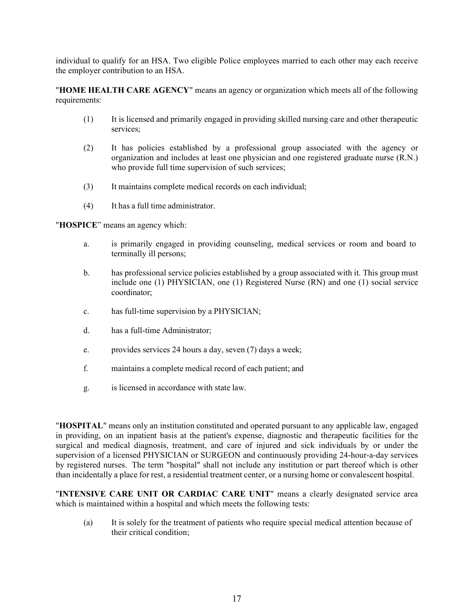individual to qualify for an HSA. Two eligible Police employees married to each other may each receive the employer contribution to an HSA.<br>"HOME HEALTH CARE AGENCY" means an agency or organization which meets all of the following

requirements:

- (1) It is licensed and primarily engaged in providing skilled nursing care and other therapeutic services;
- (2) It has policies established by a professional group associated with the agency or organization and includes at least one physician and one registered graduate nurse (R.N.) who provide full time supervision of such services;
- (3) It maintains complete medical records on each individual;
- (4) It has a full time administrator.<br>" $\text{HOSPICE}$ " means an agency which:

- a. is primarily engaged in providing counseling, medical services or room and board to terminally ill persons;
- b. has professional service policies established by a group associated with it. This group must include one (1) PHYSICIAN, one (1) Registered Nurse (RN) and one (1) social service coordinator;
- c. has full-time supervision by a PHYSICIAN;
- d. has a full-time Administrator;
- e. provides services 24 hours a day, seven (7) days a week;
- f. maintains a complete medical record of each patient; and
- 

g. is licensed in accordance with state law.<br>"HOSPITAL" means only an institution constituted and operated pursuant to any applicable law, engaged in providing, on an inpatient basis at the patient's expense, diagnostic and therapeutic facilities for the surgical and medical diagnosis, treatment, and care of injured and sick individuals by or under the supervision of a licensed PHYSICIAN or SURGEON and continuously providing 24-hour-a-day services by registered nurses. The term "hospital" shall not include any institution or part thereof which is other than incidentally a place for rest, a residential treatment center, or a nursing home or convalescent hospital.<br>"INTENSIVE CARE UNIT OR CARDIAC CARE UNIT" means a clearly designated service area

which is maintained within a hospital and which meets the following tests:

(a) It is solely for the treatment of patients who require special medical attention because of their critical condition;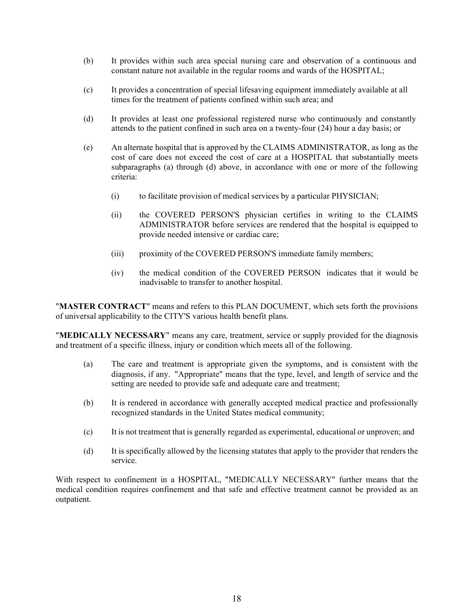- (b) It provides within such area special nursing care and observation of a continuous and constant nature not available in the regular rooms and wards of the HOSPITAL;
- (c) It provides a concentration of special lifesaving equipment immediately available at all times for the treatment of patients confined within such area; and
- (d) It provides at least one professional registered nurse who continuously and constantly attends to the patient confined in such area on a twenty-four (24) hour a day basis; or
- (e) An alternate hospital that is approved by the CLAIMS ADMINISTRATOR, as long as the cost of care does not exceed the cost of care at a HOSPITAL that substantially meets subparagraphs (a) through (d) above, in accordance with one or more of the following criteria:
	- (i) to facilitate provision of medical services by a particular PHYSICIAN;
	- (ii) the COVERED PERSON'S physician certifies in writing to the CLAIMS ADMINISTRATOR before services are rendered that the hospital is equipped to provide needed intensive or cardiac care;
	- (iii) proximity of the COVERED PERSON'S immediate family members;
	- (iv) the medical condition of the COVERED PERSON indicates that it would be

inadvisable to transfer to another hospital.<br>"MASTER CONTRACT" means and refers to this PLAN DOCUMENT, which sets forth the provisions of universal applicability to the CITY'S various health benefit plans.<br>"MEDICALLY NECESSARY" means any care, treatment, service or supply provided for the diagnosis

and treatment of a specific illness, injury or condition which meets all of the following.

- (a) The care and treatment is appropriate given the symptoms, and is consistent with the diagnosis, if any. "Appropriate" means that the type, level, and length of service and the setting are needed to provide safe and adequate care and treatment;
- (b) It is rendered in accordance with generally accepted medical practice and professionally recognized standards in the United States medical community;
- (c) It is not treatment that is generally regarded as experimental, educational or unproven; and
- (d) It is specifically allowed by the licensing statutes that apply to the provider that renders the service.

With respect to confinement in a HOSPITAL, "MEDICALLY NECESSARY" further means that the medical condition requires confinement and that safe and effective treatment cannot be provided as an outpatient.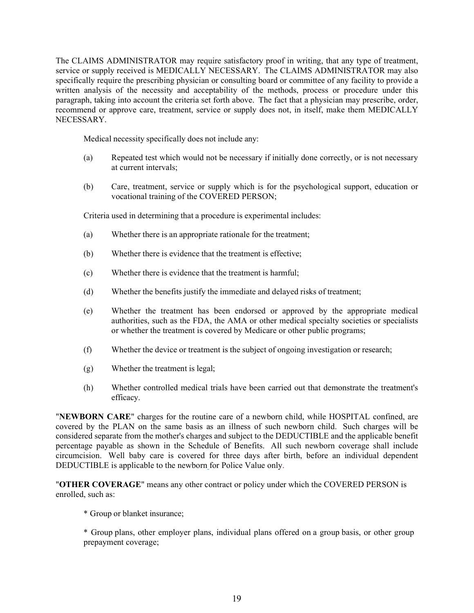The CLAIMS ADMINISTRATOR may require satisfactory proof in writing, that any type of treatment, service or supply received is MEDICALLY NECESSARY. The CLAIMS ADMINISTRATOR may also specifically require the prescribing physician or consulting board or committee of any facility to provide a written analysis of the necessity and acceptability of the methods, process or procedure under this paragraph, taking into account the criteria set forth above. The fact that a physician may prescribe, order, recommend or approve care, treatment, service or supply does not, in itself, make them MEDICALLY NECESSARY.

Medical necessity specifically does not include any:

- (a) Repeated test which would not be necessary if initially done correctly, or is not necessary at current intervals;
- (b) Care, treatment, service or supply which is for the psychological support, education or vocational training of the COVERED PERSON;

Criteria used in determining that a procedure is experimental includes:

- (a) Whether there is an appropriate rationale for the treatment;
- (b) Whether there is evidence that the treatment is effective;
- (c) Whether there is evidence that the treatment is harmful;
- (d) Whether the benefits justify the immediate and delayed risks of treatment;
- (e) Whether the treatment has been endorsed or approved by the appropriate medical authorities, such as the FDA, the AMA or other medical specialty societies or specialists or whether the treatment is covered by Medicare or other public programs;
- (f) Whether the device or treatment is the subject of ongoing investigation or research;
- (g) Whether the treatment is legal;
- (h) Whether controlled medical trials have been carried out that demonstrate the treatment's

efficacy. "NEWBORN CARE" charges for the routine care of a newborn child, while HOSPITAL confined, are covered by the PLAN on the same basis as an illness of such newborn child. Such charges will be considered separate from the mother's charges and subject to the DEDUCTIBLE and the applicable benefit percentage payable as shown in the Schedule of Benefits. All such newborn coverage shall include circumcision. Well baby care is covered for three days after birth, before an individual dependent DEDUCTIBLE is applicable to the newborn for Police Value only.

"OTHER COVERAGE" means any other contract or policy under which the COVERED PERSON is enrolled, such as:

\* Group or blanket insurance;

\* Group plans, other employer plans, individual plans offered on a group basis, or other group prepayment coverage;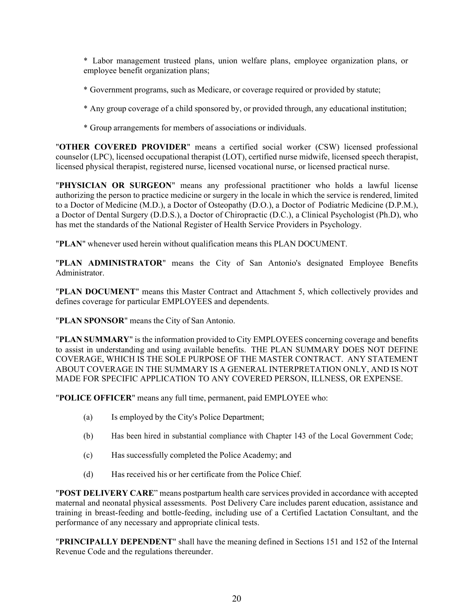\* Labor management trusteed plans, union welfare plans, employee organization plans, or employee benefit organization plans;

- \* Government programs, such as Medicare, or coverage required or provided by statute;
- \* Any group coverage of a child sponsored by, or provided through, any educational institution;
- 

\* Group arrangements for members of associations or individuals. "OTHER COVERED PROVIDER" means a certified social worker (CSW) licensed professional counselor (LPC), licensed occupational therapist (LOT), certified nurse midwife, licensed speech therapist, licensed physical therapist, registered nurse, licensed vocational nurse, or licensed practical nurse. "PHYSICIAN OR SURGEON" means any professional practitioner who holds a lawful license

authorizing the person to practice medicine or surgery in the locale in which the service is rendered, limited to a Doctor of Medicine (M.D.), a Doctor of Osteopathy (D.O.), a Doctor of Podiatric Medicine (D.P.M.), a Doctor of Dental Surgery (D.D.S.), a Doctor of Chiropractic (D.C.), a Clinical Psychologist (Ph.D), who has met the standards of the National Register of Health Service Providers in Psychology.<br>
"PLAN" whenever used herein without qualification means this PLAN DOCUMENT.<br>
"PLAN ADMINISTRATOR" means the City of San Antonio's d

Administrator.<br>"PLAN DOCUMENT" means this Master Contract and Attachment 5, which collectively provides and<br>defines coverage for particular EMPLOYEES and dependents.

"PLAN SPONSOR" means the City of San Antonio.<br>"PLAN SUMMARY" is the information provided to City EMPLOYEES concerning coverage and benefits to assist in understanding and using available benefits. THE PLAN SUMMARY DOES NOT DEFINE COVERAGE, WHICH IS THE SOLE PURPOSE OF THE MASTER CONTRACT. ANY STATEMENT ABOUT COVERAGE IN THE SUMMARY IS A GENERAL INTERPRETATION ONLY, AND IS NOT MADE FOR SPECIFIC APPLICATION TO ANY COVERED PERSON, ILLNESS, OR EXPENSE.<br>"POLICE OFFICER" means any full time, permanent, paid EMPLOYEE who: " whenever used herein without qualification means this PLAN DOCUMENT.<br> **ADMINISTRATOR**" means the City of San Antonio's designated Employee Benefits<br>
trator.<br> **DOCUMENT"** means this Master Contract and Attachment 5, which

- (a) Is employed by the City's Police Department;
- 
- (c) Has successfully completed the Police Academy; and
- 

(d) Has received his or her certificate from the Police Chief.<br>"POST DELIVERY CARE" means postpartum health care services provided in accordance with accepted maternal and neonatal physical assessments. Post Delivery Care includes parent education, assistance and training in breast-feeding and bottle-feeding, including use of a Certified Lactation Consultant, and the performance of any necessary and appropriate clinical tests. "PRINCIPALLY DEPENDENT" shall have the meaning defined in Sections 151 and 152 of the Internal

Revenue Code and the regulations thereunder.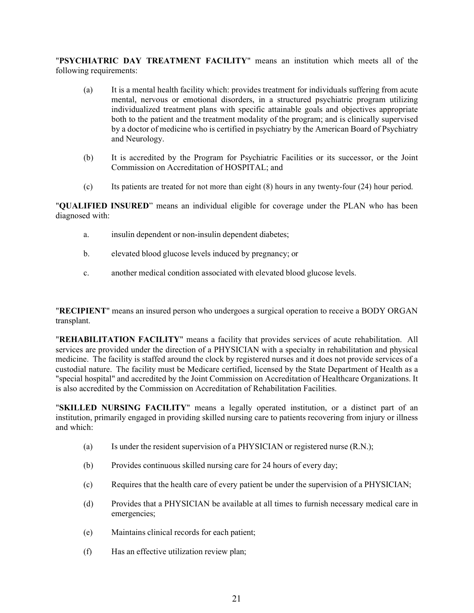"PSYCHIATRIC DAY TREATMENT FACILITY" means an institution which meets all of the following requirements:

- (a) It is a mental health facility which: provides treatment for individuals suffering from acute mental, nervous or emotional disorders, in a structured psychiatric program utilizing individualized treatment plans with specific attainable goals and objectives appropriate both to the patient and the treatment modality of the program; and is clinically supervised by a doctor of medicine who is certified in psychiatry by the American Board of Psychiatry and Neurology. **TESYCHIATRIC DAY TREATMENT FACILITY**<sup>*m*</sup> means an institution which meets all of the islowing requirements:<br>
(a) It is ancental health facility which: provides treatment for individuals suffering from acute mental, nerv
	- (b) It is accredited by the Program for Psychiatric Facilities or its successor, or the Joint Commission on Accreditation of HOSPITAL; and
	-

diagnosed with:

- a. insulin dependent or non-insulin dependent diabetes;
- b. elevated blood glucose levels induced by pregnancy; or
- 

c. another medical condition associated with elevated blood glucose levels.<br>"RECIPIENT" means an insured person who undergoes a surgical operation to receive a BODY ORGAN transplant.<br>"REHABILITATION FACILITY" means a facility that provides services of acute rehabilitation. All

services are provided under the direction of a PHYSICIAN with a specialty in rehabilitation and physical medicine. The facility is staffed around the clock by registered nurses and it does not provide services of a custodial nature. The facility must be Medicare certified, licensed by the State Department of Health as a "special hospital" and accredited by the Joint Commission on Accreditation of Healthcare Organizations. It is also accredited by the Commission on Accreditation of Rehabilitation Facilities.<br>"SKILLED NURSING FACILITY" means a legally operated institution, or a distinct part of an

institution, primarily engaged in providing skilled nursing care to patients recovering from injury or illness and which:

- (a) Is under the resident supervision of a PHYSICIAN or registered nurse (R.N.);
- (b) Provides continuous skilled nursing care for 24 hours of every day;
- (c) Requires that the health care of every patient be under the supervision of a PHYSICIAN;
- (d) Provides that a PHYSICIAN be available at all times to furnish necessary medical care in emergencies;
- (e) Maintains clinical records for each patient;
- (f) Has an effective utilization review plan;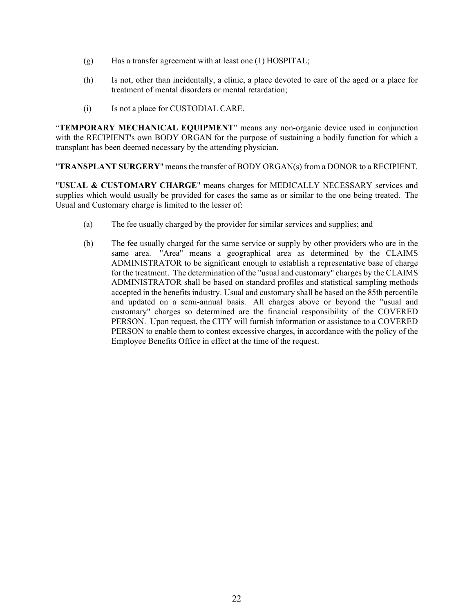- (g) Has a transfer agreement with at least one (1) HOSPITAL;
- (h) Is not, other than incidentally, a clinic, a place devoted to care of the aged or a place for treatment of mental disorders or mental retardation;
- 

(i) Is not a place for CUSTODIAL CARE.<br>
"TEMPORARY MECHANICAL EQUIPMENT" means any non-organic device used in conjunction with the RECIPIENT's own BODY ORGAN for the purpose of sustaining a bodily function for which a

transplant has been deemed necessary by the attending physician.<br>
"TRANSPLANT SURGERY" means the transfer of BODY ORGAN(s) from a DONOR to a RECIPIENT.<br>
"USUAL & CUSTOMARY CHARGE" means charges for MEDICALLY NECESSARY serv

supplies which would usually be provided for cases the same as or similar to the one being treated. The Usual and Customary charge is limited to the lesser of:

- (a) The fee usually charged by the provider for similar services and supplies; and
- (b) The fee usually charged for the same service or supply by other providers who are in the same area. "Area" means a geographical area as determined by the CLAIMS ADMINISTRATOR to be significant enough to establish a representative base of charge for the treatment. The determination of the "usual and customary" charges by the CLAIMS ADMINISTRATOR shall be based on standard profiles and statistical sampling methods accepted in the benefits industry. Usual and customary shall be based on the 85th percentile and updated on a semi-annual basis. All charges above or beyond the "usual and customary" charges so determined are the financial responsibility of the COVERED PERSON. Upon request, the CITY will furnish information or assistance to a COVERED PERSON to enable them to contest excessive charges, in accordance with the policy of the Employee Benefits Office in effect at the time of the request.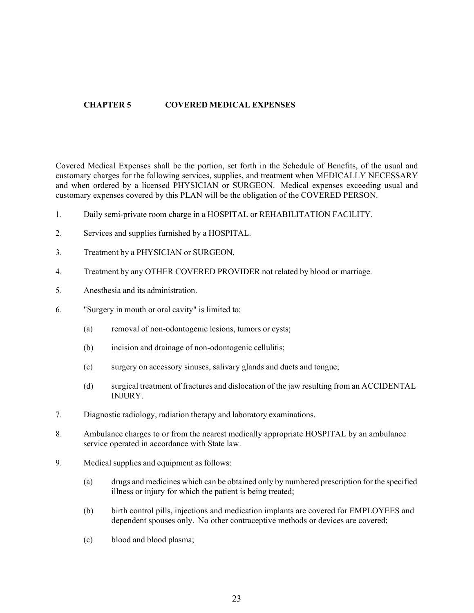# CHAPTER 5 COVERED MEDICAL EXPENSES

Covered Medical Expenses shall be the portion, set forth in the Schedule of Benefits, of the usual and customary charges for the following services, supplies, and treatment when MEDICALLY NECESSARY and when ordered by a licensed PHYSICIAN or SURGEON. Medical expenses exceeding usual and customary expenses covered by this PLAN will be the obligation of the COVERED PERSON.

- 1. Daily semi-private room charge in a HOSPITAL or REHABILITATION FACILITY.
- 2. Services and supplies furnished by a HOSPITAL.
- 3. Treatment by a PHYSICIAN or SURGEON.
- 4. Treatment by any OTHER COVERED PROVIDER not related by blood or marriage.
- 5. Anesthesia and its administration.
- 6. "Surgery in mouth or oral cavity" is limited to:
	- (a) removal of non-odontogenic lesions, tumors or cysts;
	- (b) incision and drainage of non-odontogenic cellulitis;
	- (c) surgery on accessory sinuses, salivary glands and ducts and tongue;
	- (d) surgical treatment of fractures and dislocation of the jaw resulting from an ACCIDENTAL INJURY.
- 7. Diagnostic radiology, radiation therapy and laboratory examinations.
- 8. Ambulance charges to or from the nearest medically appropriate HOSPITAL by an ambulance service operated in accordance with State law.
- 9. Medical supplies and equipment as follows:
	- (a) drugs and medicines which can be obtained only by numbered prescription for the specified illness or injury for which the patient is being treated;
	- (b) birth control pills, injections and medication implants are covered for EMPLOYEES and dependent spouses only. No other contraceptive methods or devices are covered;
	- (c) blood and blood plasma;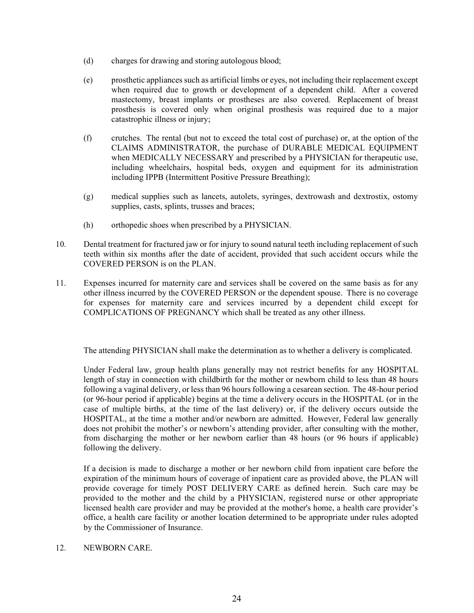- (d) charges for drawing and storing autologous blood;
- (e) prosthetic appliances such as artificial limbs or eyes, not including their replacement except when required due to growth or development of a dependent child. After a covered mastectomy, breast implants or prostheses are also covered. Replacement of breast prosthesis is covered only when original prosthesis was required due to a major catastrophic illness or injury;
- (f) crutches. The rental (but not to exceed the total cost of purchase) or, at the option of the CLAIMS ADMINISTRATOR, the purchase of DURABLE MEDICAL EQUIPMENT when MEDICALLY NECESSARY and prescribed by a PHYSICIAN for therapeutic use, including wheelchairs, hospital beds, oxygen and equipment for its administration including IPPB (Intermittent Positive Pressure Breathing);
- (g) medical supplies such as lancets, autolets, syringes, dextrowash and dextrostix, ostomy supplies, casts, splints, trusses and braces;
- (h) orthopedic shoes when prescribed by a PHYSICIAN.
- 10. Dental treatment for fractured jaw or for injury to sound natural teeth including replacement of such teeth within six months after the date of accident, provided that such accident occurs while the COVERED PERSON is on the PLAN.
- 11. Expenses incurred for maternity care and services shall be covered on the same basis as for any other illness incurred by the COVERED PERSON or the dependent spouse. There is no coverage for expenses for maternity care and services incurred by a dependent child except for COMPLICATIONS OF PREGNANCY which shall be treated as any other illness.

The attending PHYSICIAN shall make the determination as to whether a delivery is complicated.

Under Federal law, group health plans generally may not restrict benefits for any HOSPITAL length of stay in connection with childbirth for the mother or newborn child to less than 48 hours following a vaginal delivery, or less than 96 hours following a cesarean section. The 48-hour period (or 96-hour period if applicable) begins at the time a delivery occurs in the HOSPITAL (or in the case of multiple births, at the time of the last delivery) or, if the delivery occurs outside the HOSPITAL, at the time a mother and/or newborn are admitted. However, Federal law generally does not prohibit the mother's or newborn's attending provider, after consulting with the mother, from discharging the mother or her newborn earlier than 48 hours (or 96 hours if applicable) following the delivery.

If a decision is made to discharge a mother or her newborn child from inpatient care before the expiration of the minimum hours of coverage of inpatient care as provided above, the PLAN will provide coverage for timely POST DELIVERY CARE as defined herein. Such care may be provided to the mother and the child by a PHYSICIAN, registered nurse or other appropriate licensed health care provider and may be provided at the mother's home, a health care provider's office, a health care facility or another location determined to be appropriate under rules adopted by the Commissioner of Insurance.

## 12. NEWBORN CARE.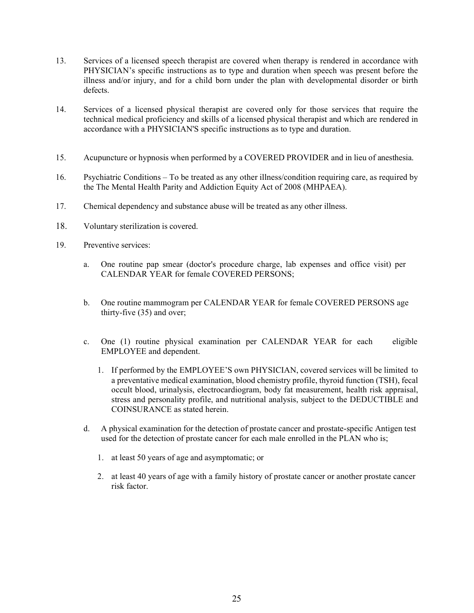- 13. Services of a licensed speech therapist are covered when therapy is rendered in accordance with PHYSICIAN's specific instructions as to type and duration when speech was present before the illness and/or injury, and for a child born under the plan with developmental disorder or birth defects.
- 14. Services of a licensed physical therapist are covered only for those services that require the technical medical proficiency and skills of a licensed physical therapist and which are rendered in accordance with a PHYSICIAN'S specific instructions as to type and duration.
- 15. Acupuncture or hypnosis when performed by a COVERED PROVIDER and in lieu of anesthesia.
- 16. Psychiatric Conditions To be treated as any other illness/condition requiring care, as required by the The Mental Health Parity and Addiction Equity Act of 2008 (MHPAEA).
- 17. Chemical dependency and substance abuse will be treated as any other illness.
- 18. Voluntary sterilization is covered.
- 19. Preventive services:
	- a. One routine pap smear (doctor's procedure charge, lab expenses and office visit) per CALENDAR YEAR for female COVERED PERSONS;
	- b. One routine mammogram per CALENDAR YEAR for female COVERED PERSONS age thirty-five (35) and over;
	- c. One (1) routine physical examination per CALENDAR YEAR for each eligible EMPLOYEE and dependent.
		- 1. If performed by the EMPLOYEE'S own PHYSICIAN, covered services will be limited to a preventative medical examination, blood chemistry profile, thyroid function (TSH), fecal occult blood, urinalysis, electrocardiogram, body fat measurement, health risk appraisal, stress and personality profile, and nutritional analysis, subject to the DEDUCTIBLE and COINSURANCE as stated herein.
	- d. A physical examination for the detection of prostate cancer and prostate-specific Antigen test used for the detection of prostate cancer for each male enrolled in the PLAN who is;
		- 1. at least 50 years of age and asymptomatic; or
		- 2. at least 40 years of age with a family history of prostate cancer or another prostate cancer risk factor.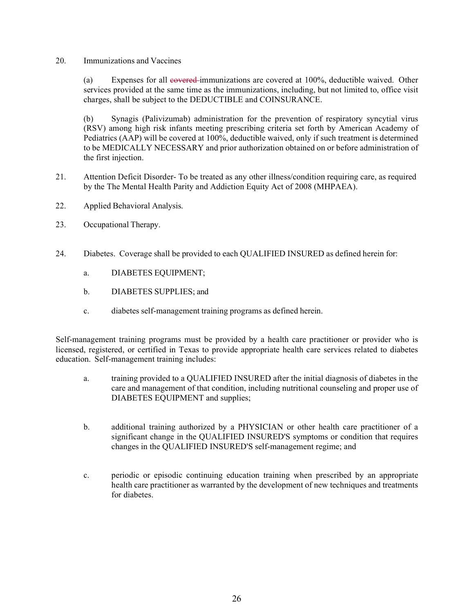## 20. Immunizations and Vaccines

(a) Expenses for all  $e$ overed immunizations are covered at  $100\%$ , deductible waived. Other services provided at the same time as the immunizations, including, but not limited to, office visit charges, shall be subject to the DEDUCTIBLE and COINSURANCE.

(b) Synagis (Palivizumab) administration for the prevention of respiratory syncytial virus (RSV) among high risk infants meeting prescribing criteria set forth by American Academy of Pediatrics (AAP) will be covered at 100%, deductible waived, only if such treatment is determined to be MEDICALLY NECESSARY and prior authorization obtained on or before administration of the first injection.

- 21. Attention Deficit Disorder- To be treated as any other illness/condition requiring care, as required by the The Mental Health Parity and Addiction Equity Act of 2008 (MHPAEA).
- 22. Applied Behavioral Analysis.
- 23. Occupational Therapy.
- 24. Diabetes. Coverage shall be provided to each QUALIFIED INSURED as defined herein for:
	- a. DIABETES EQUIPMENT;
	- b. DIABETES SUPPLIES; and
	- c. diabetes self-management training programs as defined herein.

Self-management training programs must be provided by a health care practitioner or provider who is licensed, registered, or certified in Texas to provide appropriate health care services related to diabetes education. Self-management training includes:

- a. training provided to a QUALIFIED INSURED after the initial diagnosis of diabetes in the care and management of that condition, including nutritional counseling and proper use of DIABETES EQUIPMENT and supplies;
- b. additional training authorized by a PHYSICIAN or other health care practitioner of a significant change in the QUALIFIED INSURED'S symptoms or condition that requires changes in the QUALIFIED INSURED'S self-management regime; and
- c. periodic or episodic continuing education training when prescribed by an appropriate health care practitioner as warranted by the development of new techniques and treatments for diabetes.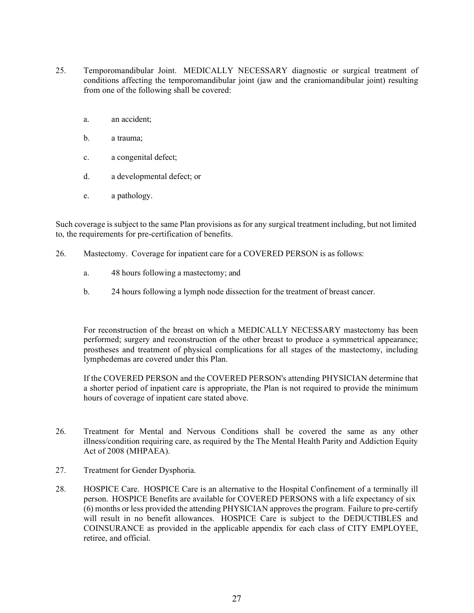- 25. Temporomandibular Joint. MEDICALLY NECESSARY diagnostic or surgical treatment of conditions affecting the temporomandibular joint (jaw and the craniomandibular joint) resulting from one of the following shall be covered:
	- a. an accident;
	- b. a trauma;
	- c. a congenital defect;
	- d. a developmental defect; or
	- e. a pathology.

Such coverage is subject to the same Plan provisions as for any surgical treatment including, but not limited to, the requirements for pre-certification of benefits.

- 26. Mastectomy. Coverage for inpatient care for a COVERED PERSON is as follows:
	- a. 48 hours following a mastectomy; and
	- b. 24 hours following a lymph node dissection for the treatment of breast cancer.

For reconstruction of the breast on which a MEDICALLY NECESSARY mastectomy has been performed; surgery and reconstruction of the other breast to produce a symmetrical appearance; prostheses and treatment of physical complications for all stages of the mastectomy, including lymphedemas are covered under this Plan.

If the COVERED PERSON and the COVERED PERSON's attending PHYSICIAN determine that a shorter period of inpatient care is appropriate, the Plan is not required to provide the minimum hours of coverage of inpatient care stated above.

- 26. Treatment for Mental and Nervous Conditions shall be covered the same as any other illness/condition requiring care, as required by the The Mental Health Parity and Addiction Equity Act of 2008 (MHPAEA).
- 27. Treatment for Gender Dysphoria.
- 28. HOSPICE Care. HOSPICE Care is an alternative to the Hospital Confinement of a terminally ill person. HOSPICE Benefits are available for COVERED PERSONS with a life expectancy of six (6) months or less provided the attending PHYSICIAN approves the program. Failure to pre-certify will result in no benefit allowances. HOSPICE Care is subject to the DEDUCTIBLES and COINSURANCE as provided in the applicable appendix for each class of CITY EMPLOYEE, retiree, and official.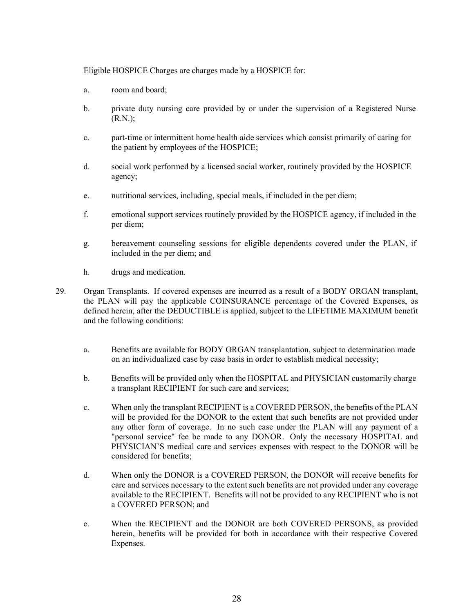Eligible HOSPICE Charges are charges made by a HOSPICE for:

- a. room and board;
- b. private duty nursing care provided by or under the supervision of a Registered Nurse (R.N.);
- c. part-time or intermittent home health aide services which consist primarily of caring for the patient by employees of the HOSPICE;
- d. social work performed by a licensed social worker, routinely provided by the HOSPICE agency;
- e. nutritional services, including, special meals, if included in the per diem;
- f. emotional support services routinely provided by the HOSPICE agency, if included in the per diem;
- g. bereavement counseling sessions for eligible dependents covered under the PLAN, if included in the per diem; and
- h. drugs and medication.
- 29. Organ Transplants. If covered expenses are incurred as a result of a BODY ORGAN transplant, the PLAN will pay the applicable COINSURANCE percentage of the Covered Expenses, as defined herein, after the DEDUCTIBLE is applied, subject to the LIFETIME MAXIMUM benefit and the following conditions:
	- a. Benefits are available for BODY ORGAN transplantation, subject to determination made on an individualized case by case basis in order to establish medical necessity;
	- b. Benefits will be provided only when the HOSPITAL and PHYSICIAN customarily charge a transplant RECIPIENT for such care and services;
	- c. When only the transplant RECIPIENT is a COVERED PERSON, the benefits of the PLAN will be provided for the DONOR to the extent that such benefits are not provided under any other form of coverage. In no such case under the PLAN will any payment of a "personal service" fee be made to any DONOR. Only the necessary HOSPITAL and PHYSICIAN'S medical care and services expenses with respect to the DONOR will be considered for benefits;
	- d. When only the DONOR is a COVERED PERSON, the DONOR will receive benefits for care and services necessary to the extent such benefits are not provided under any coverage available to the RECIPIENT. Benefits will not be provided to any RECIPIENT who is not a COVERED PERSON; and
	- e. When the RECIPIENT and the DONOR are both COVERED PERSONS, as provided herein, benefits will be provided for both in accordance with their respective Covered Expenses.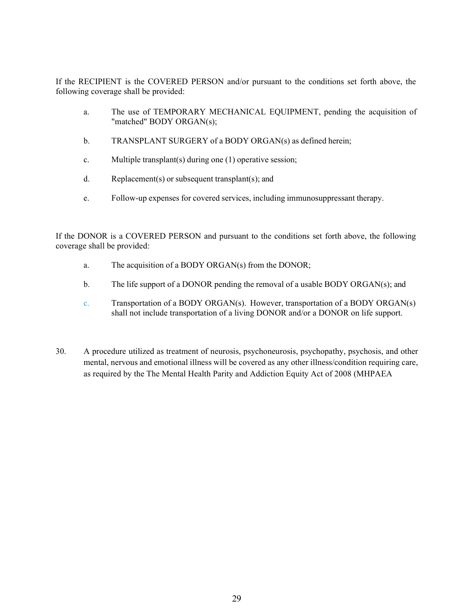If the RECIPIENT is the COVERED PERSON and/or pursuant to the conditions set forth above, the following coverage shall be provided:

- a. The use of TEMPORARY MECHANICAL EQUIPMENT, pending the acquisition of "matched" BODY ORGAN(s);
- b. TRANSPLANT SURGERY of a BODY ORGAN(s) as defined herein;
- c. Multiple transplant(s) during one (1) operative session;
- d. Replacement(s) or subsequent transplant(s); and
- e. Follow-up expenses for covered services, including immunosuppressant therapy.

If the DONOR is a COVERED PERSON and pursuant to the conditions set forth above, the following coverage shall be provided:

- a. The acquisition of a BODY ORGAN(s) from the DONOR;
- b. The life support of a DONOR pending the removal of a usable BODY ORGAN(s); and
- c. Transportation of a BODY ORGAN(s). However, transportation of a BODY ORGAN(s) shall not include transportation of a living DONOR and/or a DONOR on life support.
- 30. A procedure utilized as treatment of neurosis, psychoneurosis, psychopathy, psychosis, and other mental, nervous and emotional illness will be covered as any other illness/condition requiring care, as required by the The Mental Health Parity and Addiction Equity Act of 2008 (MHPAEA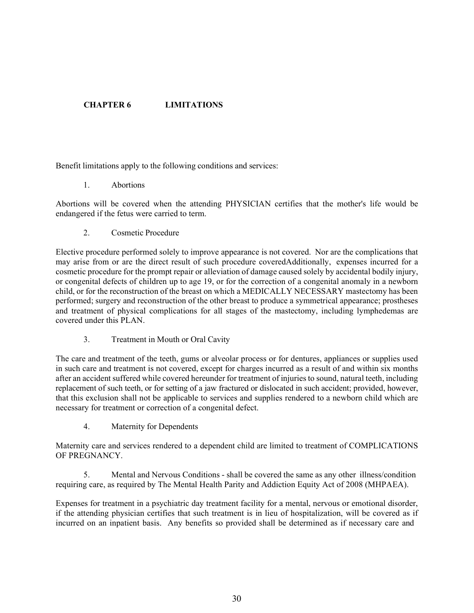# CHAPTER 6 LIMITATIONS

Benefit limitations apply to the following conditions and services:

1. Abortions

Abortions will be covered when the attending PHYSICIAN certifies that the mother's life would be endangered if the fetus were carried to term.

2. Cosmetic Procedure

Elective procedure performed solely to improve appearance is not covered. Nor are the complications that may arise from or are the direct result of such procedure coveredAdditionally, expenses incurred for a cosmetic procedure for the prompt repair or alleviation of damage caused solely by accidental bodily injury, or congenital defects of children up to age 19, or for the correction of a congenital anomaly in a newborn child, or for the reconstruction of the breast on which a MEDICALLY NECESSARY mastectomy has been performed; surgery and reconstruction of the other breast to produce a symmetrical appearance; prostheses and treatment of physical complications for all stages of the mastectomy, including lymphedemas are covered under this PLAN.

3. Treatment in Mouth or Oral Cavity

The care and treatment of the teeth, gums or alveolar process or for dentures, appliances or supplies used in such care and treatment is not covered, except for charges incurred as a result of and within six months after an accident suffered while covered hereunder for treatment of injuries to sound, natural teeth, including replacement of such teeth, or for setting of a jaw fractured or dislocated in such accident; provided, however, that this exclusion shall not be applicable to services and supplies rendered to a newborn child which are necessary for treatment or correction of a congenital defect.

4. Maternity for Dependents

Maternity care and services rendered to a dependent child are limited to treatment of COMPLICATIONS OF PREGNANCY.

5. Mental and Nervous Conditions - shall be covered the same as any other illness/condition requiring care, as required by The Mental Health Parity and Addiction Equity Act of 2008 (MHPAEA).

Expenses for treatment in a psychiatric day treatment facility for a mental, nervous or emotional disorder, if the attending physician certifies that such treatment is in lieu of hospitalization, will be covered as if incurred on an inpatient basis. Any benefits so provided shall be determined as if necessary care and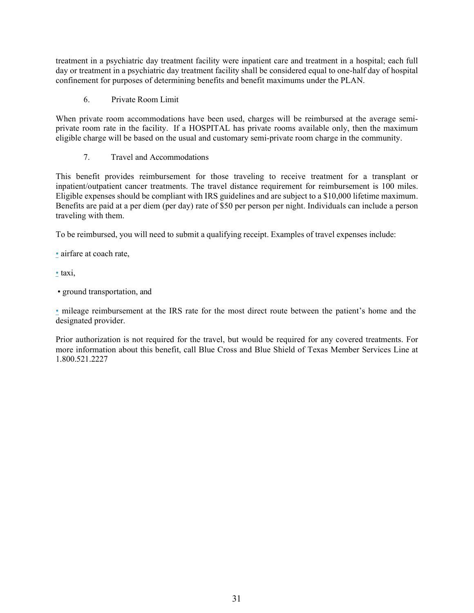treatment in a psychiatric day treatment facility were inpatient care and treatment in a hospital; each full day or treatment in a psychiatric day treatment facility shall be considered equal to one-half day of hospital confinement for purposes of determining benefits and benefit maximums under the PLAN.

6. Private Room Limit

When private room accommodations have been used, charges will be reimbursed at the average semiprivate room rate in the facility. If a HOSPITAL has private rooms available only, then the maximum eligible charge will be based on the usual and customary semi-private room charge in the community.

The independent of the application of the and the production and the product and the product and specifiest and benefit maximums under the PLAN.<br>
7. Trivate Room Limit<br>
7. Travel accommodations have been used, charges will This benefit provides reimbursement for those traveling to receive treatment for a transplant or inpatient/outpatient cancer treatments. The travel distance requirement for reimbursement is 100 miles. Eligible expenses should be compliant with IRS guidelines and are subject to a \$10,000 lifetime maximum. Benefits are paid at a per diem (per day) rate of \$50 per person per night. Individuals can include a person traveling with them.

To be reimbursed, you will need to submit a qualifying receipt. Examples of travel expenses include:<br>
• airfare at coach rate,<br>
• taxi,

• ground transportation, and<br>
• mileage reimbursement at the IRS rate for the most direct route between the patient's home and the designated provider.

Prior authorization is not required for the travel, but would be required for any covered treatments. For more information about this benefit, call Blue Cross and Blue Shield of Texas Member Services Line at 1.800.521.2227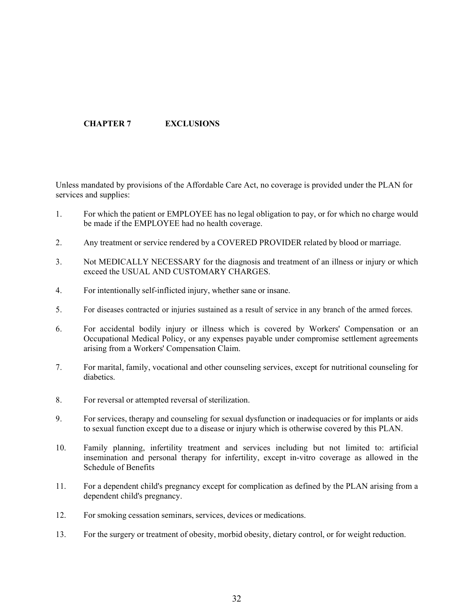# CHAPTER 7 EXCLUSIONS

Unless mandated by provisions of the Affordable Care Act, no coverage is provided under the PLAN for services and supplies:

- 1. For which the patient or EMPLOYEE has no legal obligation to pay, or for which no charge would be made if the EMPLOYEE had no health coverage.
- 2. Any treatment or service rendered by a COVERED PROVIDER related by blood or marriage.
- 3. Not MEDICALLY NECESSARY for the diagnosis and treatment of an illness or injury or which exceed the USUAL AND CUSTOMARY CHARGES.
- 4. For intentionally self-inflicted injury, whether sane or insane.
- 
- **CHAPTER 7** EXCLUSIONS<br>
Unless mandated by provisions of the Affordable Care Aet, no eoverage is provided under the PLAN for<br>
1. For which the patient or EMPLOYEE has no legal obligation to pay, or for which no charge woul 6. For accidental bodily injury or illness which is covered by Workers' Compensation or an Occupational Medical Policy, or any expenses payable under compromise settlement agreements arising from a Workers' Compensation Claim.
- 7. For marital, family, vocational and other counseling services, except for nutritional counseling for diabetics.
- 8. For reversal or attempted reversal of sterilization.
- 9. For services, therapy and counseling for sexual dysfunction or inadequacies or for implants or aids to sexual function except due to a disease or injury which is otherwise covered by this PLAN.
- 10. Family planning, infertility treatment and services including but not limited to: artificial insemination and personal therapy for infertility, except in-vitro coverage as allowed in the Schedule of Benefits
- 11. For a dependent child's pregnancy except for complication as defined by the PLAN arising from a dependent child's pregnancy.
- 12. For smoking cessation seminars, services, devices or medications.
- 13. For the surgery or treatment of obesity, morbid obesity, dietary control, or for weight reduction.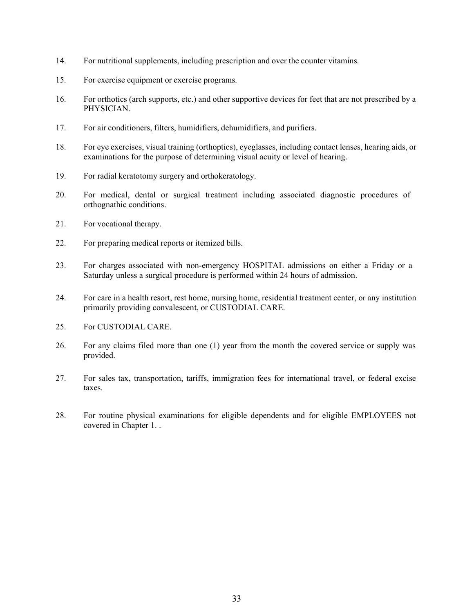- 14. For nutritional supplements, including prescription and over the counter vitamins.
- 15. For exercise equipment or exercise programs.
- 16. For orthotics (arch supports, etc.) and other supportive devices for feet that are not prescribed by a PHYSICIAN.
- 17. For air conditioners, filters, humidifiers, dehumidifiers, and purifiers.
- 18. For eye exercises, visual training (orthoptics), eyeglasses, including contact lenses, hearing aids, or examinations for the purpose of determining visual acuity or level of hearing.
- 19. For radial keratotomy surgery and orthokeratology.
- 20. For medical, dental or surgical treatment including associated diagnostic procedures of orthognathic conditions.
- 21. For vocational therapy.
- 22. For preparing medical reports or itemized bills.
- 23. For charges associated with non-emergency HOSPITAL admissions on either a Friday or a Saturday unless a surgical procedure is performed within 24 hours of admission.
- 24. For care in a health resort, rest home, nursing home, residential treatment center, or any institution primarily providing convalescent, or CUSTODIAL CARE.
- 25. For CUSTODIAL CARE.
- 26. For any claims filed more than one (1) year from the month the covered service or supply was provided.
- 27. For sales tax, transportation, tariffs, immigration fees for international travel, or federal excise taxes.
- 28. For routine physical examinations for eligible dependents and for eligible EMPLOYEES not covered in Chapter 1. .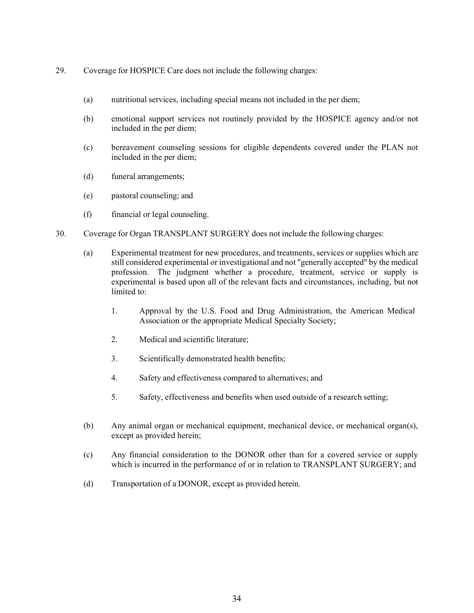- 29. Coverage for HOSPICE Care does not include the following charges:
	- (a) nutritional services, including special means not included in the per diem;
	- (b) emotional support services not routinely provided by the HOSPICE agency and/or not included in the per diem;
	- (c) bereavement counseling sessions for eligible dependents covered under the PLAN not included in the per diem;
	- (d) funeral arrangements;
	- (e) pastoral counseling; and
	- (f) financial or legal counseling.
- 30. Coverage for Organ TRANSPLANT SURGERY does not include the following charges:
	- (a) Experimental treatment for new procedures, and treatments, services or supplies which are still considered experimental or investigational and not "generally accepted" by the medical profession. The judgment whether a procedure, treatment, service or supply is experimental is based upon all of the relevant facts and circumstances, including, but not limited to:
		- 1. Approval by the U.S. Food and Drug Administration, the American Medical Association or the appropriate Medical Specialty Society;
		- 2. Medical and scientific literature;
		- 3. Scientifically demonstrated health benefits;
		- 4. Safety and effectiveness compared to alternatives; and
		- 5. Safety, effectiveness and benefits when used outside of a research setting;
	- (b) Any animal organ or mechanical equipment, mechanical device, or mechanical organ(s), except as provided herein;
	- (c) Any financial consideration to the DONOR other than for a covered service or supply which is incurred in the performance of or in relation to TRANSPLANT SURGERY; and
	- (d) Transportation of a DONOR, except as provided herein.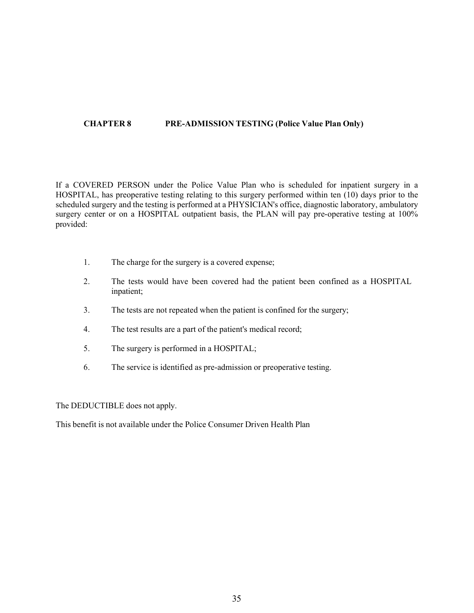## CHAPTER 8 PRE-ADMISSION TESTING (Police Value Plan Only)

If a COVERED PERSON under the Police Value Plan who is scheduled for inpatient surgery in a HOSPITAL, has preoperative testing relating to this surgery performed within ten (10) days prior to the scheduled surgery and the testing is performed at a PHYSICIAN's office, diagnostic laboratory, ambulatory surgery center or on a HOSPITAL outpatient basis, the PLAN will pay pre-operative testing at 100% provided:

- 1. The charge for the surgery is a covered expense;
- 2. The tests would have been covered had the patient been confined as a HOSPITAL inpatient;
- 3. The tests are not repeated when the patient is confined for the surgery;
- 4. The test results are a part of the patient's medical record;
- 5. The surgery is performed in a HOSPITAL;
- 6. The service is identified as pre-admission or preoperative testing.

The DEDUCTIBLE does not apply.

This benefit is not available under the Police Consumer Driven Health Plan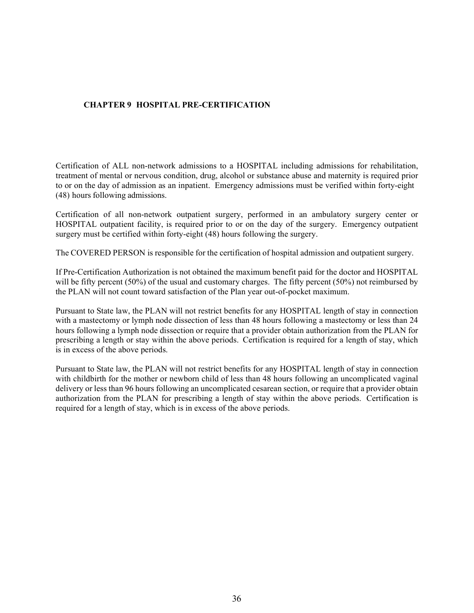# CHAPTER 9 HOSPITAL PRE-CERTIFICATION

Certification of ALL non-network admissions to a HOSPITAL including admissions for rehabilitation, treatment of mental or nervous condition, drug, alcohol or substance abuse and maternity is required prior to or on the day of admission as an inpatient. Emergency admissions must be verified within forty-eight (48) hours following admissions.

Certification of all non-network outpatient surgery, performed in an ambulatory surgery center or HOSPITAL outpatient facility, is required prior to or on the day of the surgery. Emergency outpatient surgery must be certified within forty-eight (48) hours following the surgery.

The COVERED PERSON is responsible for the certification of hospital admission and outpatient surgery.

If Pre-Certification Authorization is not obtained the maximum benefit paid for the doctor and HOSPITAL will be fifty percent (50%) of the usual and customary charges. The fifty percent (50%) not reimbursed by the PLAN will not count toward satisfaction of the Plan year out-of-pocket maximum.

Pursuant to State law, the PLAN will not restrict benefits for any HOSPITAL length of stay in connection with a mastectomy or lymph node dissection of less than 48 hours following a mastectomy or less than 24 hours following a lymph node dissection or require that a provider obtain authorization from the PLAN for prescribing a length or stay within the above periods. Certification is required for a length of stay, which is in excess of the above periods.

Pursuant to State law, the PLAN will not restrict benefits for any HOSPITAL length of stay in connection with childbirth for the mother or newborn child of less than 48 hours following an uncomplicated vaginal delivery or less than 96 hours following an uncomplicated cesarean section, or require that a provider obtain authorization from the PLAN for prescribing a length of stay within the above periods. Certification is required for a length of stay, which is in excess of the above periods.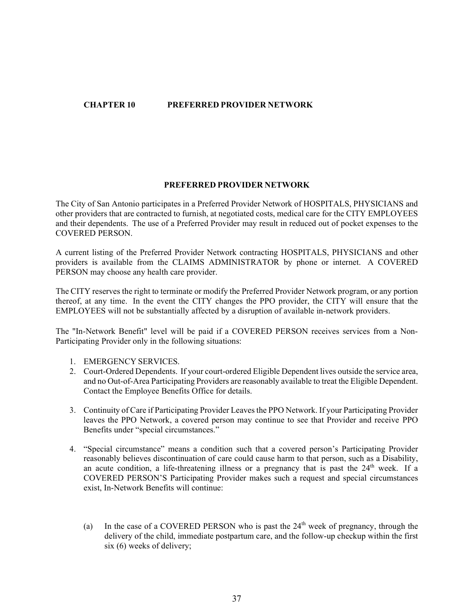# CHAPTER 10 PREFERRED PROVIDER NETWORK

#### PREFERRED PROVIDER NETWORK

The City of San Antonio participates in a Preferred Provider Network of HOSPITALS, PHYSICIANS and other providers that are contracted to furnish, at negotiated costs, medical care for the CITY EMPLOYEES and their dependents. The use of a Preferred Provider may result in reduced out of pocket expenses to the COVERED PERSON.

A current listing of the Preferred Provider Network contracting HOSPITALS, PHYSICIANS and other providers is available from the CLAIMS ADMINISTRATOR by phone or internet. A COVERED PERSON may choose any health care provider.

The CITY reserves the right to terminate or modify the Preferred Provider Network program, or any portion thereof, at any time. In the event the CITY changes the PPO provider, the CITY will ensure that the EMPLOYEES will not be substantially affected by a disruption of available in-network providers.

The "In-Network Benefit" level will be paid if a COVERED PERSON receives services from a Non-Participating Provider only in the following situations:

- 1. EMERGENCY SERVICES.
- 2. Court-Ordered Dependents. If your court-ordered Eligible Dependent lives outside the service area, and no Out-of-Area Participating Providers are reasonably available to treat the Eligible Dependent. Contact the Employee Benefits Office for details.
- 3. Continuity of Care if Participating Provider Leaves the PPO Network. If your Participating Provider leaves the PPO Network, a covered person may continue to see that Provider and receive PPO Benefits under "special circumstances."
- 4. "Special circumstance" means a condition such that a covered person's Participating Provider reasonably believes discontinuation of care could cause harm to that person, such as a Disability, an acute condition, a life-threatening illness or a pregnancy that is past the  $24<sup>th</sup>$  week. If a COVERED PERSON'S Participating Provider makes such a request and special circumstances exist, In-Network Benefits will continue:
	- (a) In the case of a COVERED PERSON who is past the  $24<sup>th</sup>$  week of pregnancy, through the delivery of the child, immediate postpartum care, and the follow-up checkup within the first six (6) weeks of delivery;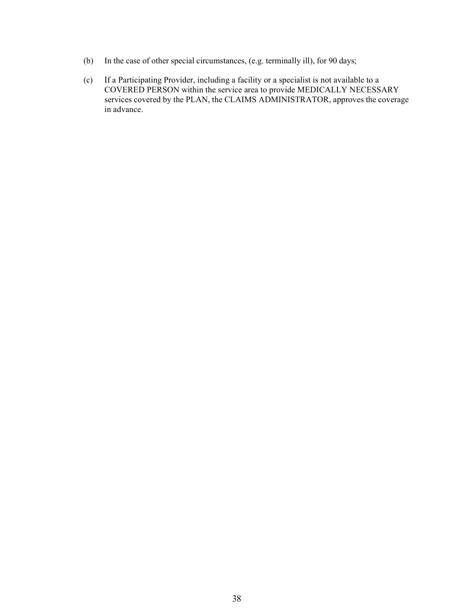- (b) In the case of other special circumstances, (e.g. terminally ill), for 90 days;
- (c) If a Participating Provider, including a facility or a specialist is not available to a COVERED PERSON within the service area to provide MEDICALLY NECESSARY services covered by the PLAN, the CLAIMS ADMINISTRATOR, approves the coverage in advance.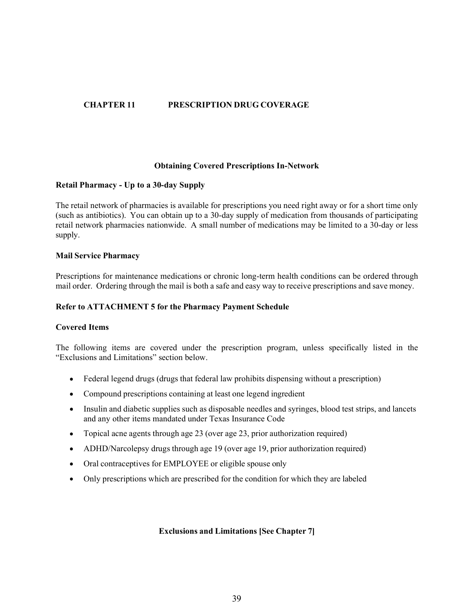# CHAPTER 11 PRESCRIPTION DRUG COVERAGE

## Obtaining Covered Prescriptions In-Network

## Retail Pharmacy - Up to a 30-day Supply

The retail network of pharmacies is available for prescriptions you need right away or for a short time only (such as antibiotics). You can obtain up to a 30-day supply of medication from thousands of participating retail network pharmacies nationwide. A small number of medications may be limited to a 30-day or less supply.

#### Mail Service Pharmacy

Prescriptions for maintenance medications or chronic long-term health conditions can be ordered through mail order. Ordering through the mail is both a safe and easy way to receive prescriptions and save money.

#### Refer to ATTACHMENT 5 for the Pharmacy Payment Schedule

#### Covered Items

The following items are covered under the prescription program, unless specifically listed in the "Exclusions and Limitations" section below.

- Federal legend drugs (drugs that federal law prohibits dispensing without a prescription)
- Compound prescriptions containing at least one legend ingredient
- Insulin and diabetic supplies such as disposable needles and syringes, blood test strips, and lancets and any other items mandated under Texas Insurance Code
- Topical acne agents through age 23 (over age 23, prior authorization required)
- ADHD/Narcolepsy drugs through age 19 (over age 19, prior authorization required)
- Oral contraceptives for EMPLOYEE or eligible spouse only
- Only prescriptions which are prescribed for the condition for which they are labeled

#### Exclusions and Limitations [See Chapter 7]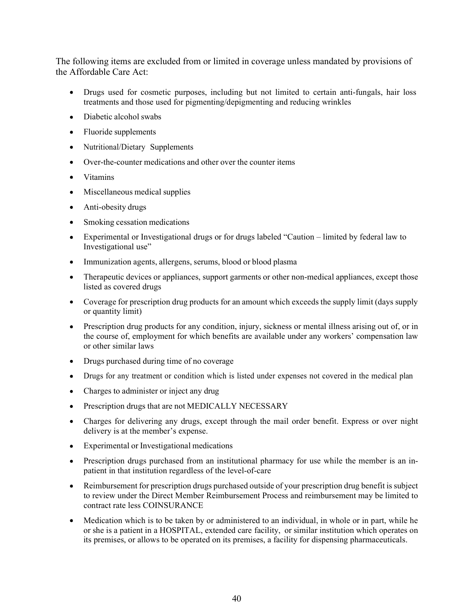The following items are excluded from or limited in coverage unless mandated by provisions of the Affordable Care Act:

- Drugs used for cosmetic purposes, including but not limited to certain anti-fungals, hair loss treatments and those used for pigmenting/depigmenting and reducing wrinkles
- Diabetic alcohol swabs
- Fluoride supplements
- Nutritional/Dietary Supplements
- Over-the-counter medications and other over the counter items  $\bullet$
- $\bullet$ Vitamins
- Miscellaneous medical supplies
- Anti-obesity drugs
- Smoking cessation medications
- Experimental or Investigational drugs or for drugs labeled "Caution limited by federal law to Investigational use
- Immunization agents, allergens, serums, blood or blood plasma
- Therapeutic devices or appliances, support garments or other non-medical appliances, except those  $\bullet$ listed as covered drugs
- Coverage for prescription drug products for an amount which exceeds the supply limit (days supply or quantity limit)
- Prescription drug products for any condition, injury, sickness or mental illness arising out of, or in the course of, employment for which benefits are available under any workers' compensation law or other similar laws Vitamins<br>
Miscellaneous medical supplies<br>
Anti-obesity drugs<br>
Smoking cessation medications<br>
Experimental or Investigational drugs or for drugs labeled "Caution – limited by federal law to<br>
Investigational use"<br>
Immunizati
- Drugs purchased during time of no coverage
- 
- Charges to administer or inject any drug
- Prescription drugs that are not MEDICALLY NECESSARY
- Charges for delivering any drugs, except through the mail order benefit. Express or over night delivery is at the member's expense.
- Experimental or Investigational medications
- Prescription drugs purchased from an institutional pharmacy for use while the member is an inpatient in that institution regardless of the level-of-care
- Reimbursement for prescription drugs purchased outside of your prescription drug benefit is subject  $\bullet$ to review under the Direct Member Reimbursement Process and reimbursement may be limited to contract rate less COINSURANCE
- Medication which is to be taken by or administered to an individual, in whole or in part, while he or she is a patient in a HOSPITAL, extended care facility, or similar institution which operates on its premises, or allows to be operated on its premises, a facility for dispensing pharmaceuticals.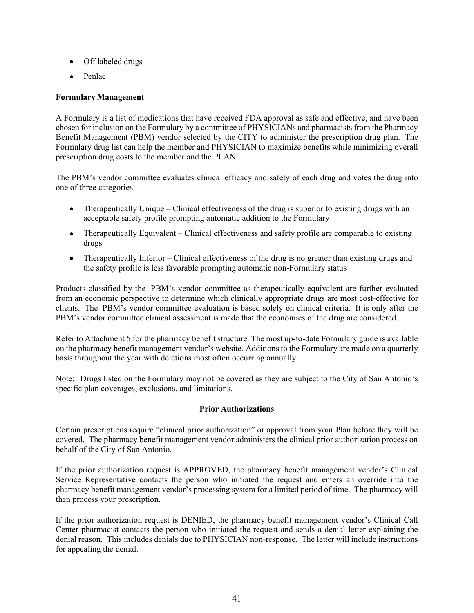- Off labeled drugs
- Penlac

# Formulary Management

A Formulary is a list of medications that have received FDA approval as safe and effective, and have been chosen for inclusion on the Formulary by a committee of PHYSICIANs and pharmacists from the Pharmacy Benefit Management (PBM) vendor selected by the CITY to administer the prescription drug plan. The Formulary drug list can help the member and PHYSICIAN to maximize benefits while minimizing overall prescription drug costs to the member and the PLAN.

The PBM's vendor committee evaluates clinical efficacy and safety of each drug and votes the drug into one of three categories:

- $\bullet$  Therapeutically Unique Clinical effectiveness of the drug is superior to existing drugs with an acceptable safety profile prompting automatic addition to the Formulary
- Therapeutically Equivalent Clinical effectiveness and safety profile are comparable to existing drugs
- Therapeutically Inferior Clinical effectiveness of the drug is no greater than existing drugs and the safety profile is less favorable prompting automatic non-Formulary status

Products classified by the PBM's vendor committee as therapeutically equivalent are further evaluated from an economic perspective to determine which clinically appropriate drugs are most cost-effective for clients. The PBM's vendor committee evaluation is based solely on clinical criteria. It is only after the PBM's vendor committee clinical assessment is made that the economics of the drug are considered.

Refer to Attachment 5 for the pharmacy benefit structure. The most up-to-date Formulary guide is available on the pharmacy benefit management vendor's website. Additions to the Formulary are made on a quarterly basis throughout the year with deletions most often occurring annually.

Note: Drugs listed on the Formulary may not be covered as they are subject to the City of San Antonio's specific plan coverages, exclusions, and limitations.

## Prior Authorizations

Certain prescriptions require "clinical prior authorization" or approval from your Plan before they will be covered. The pharmacy benefit management vendor administers the clinical prior authorization process on behalf of the City of San Antonio.

If the prior authorization request is APPROVED, the pharmacy benefit management vendor's Clinical Service Representative contacts the person who initiated the request and enters an override into the pharmacy benefit management vendor's processing system for a limited period of time. The pharmacy will then process your prescription.

If the prior authorization request is DENIED, the pharmacy benefit management vendor's Clinical Call Center pharmacist contacts the person who initiated the request and sends a denial letter explaining the denial reason. This includes denials due to PHYSICIAN non-response. The letter will include instructions for appealing the denial.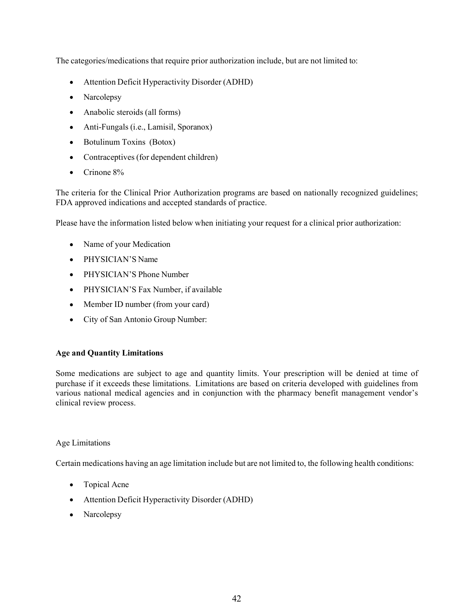The categories/medications that require prior authorization include, but are not limited to:

- Attention Deficit Hyperactivity Disorder (ADHD)
- Narcolepsy
- Anabolic steroids (all forms)
- Anti-Fungals (i.e., Lamisil, Sporanox)
- Botulinum Toxins (Botox)
- Contraceptives (for dependent children)
- Crinone 8%  $\bullet$

The criteria for the Clinical Prior Authorization programs are based on nationally recognized guidelines; FDA approved indications and accepted standards of practice.

Please have the information listed below when initiating your request for a clinical prior authorization:

- Name of your Medication
- PHYSICIAN'S Name  $\bullet$
- PHYSICIAN'S Phone Number
- PHYSICIAN'S Fax Number, if available
- Member ID number (from your card)
- City of San Antonio Group Number:

# Age and Quantity Limitations

Some medications are subject to age and quantity limits. Your prescription will be denied at time of purchase if it exceeds these limitations. Limitations are based on criteria developed with guidelines from various national medical agencies and in conjunction with the pharmacy benefit management vendor's clinical review process.

## Age Limitations

Certain medications having an age limitation include but are not limited to, the following health conditions:

- Topical Acne
- Attention Deficit Hyperactivity Disorder (ADHD)
- Narcolepsy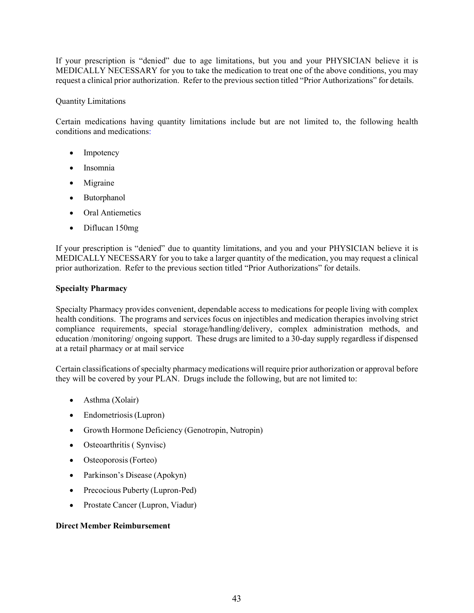If your prescription is "denied" due to age limitations, but you and your PHYSICIAN believe it is MEDICALLY NECESSARY for you to take the medication to treat one of the above conditions, you may request a clinical prior authorization. Refer to the previous section titled "Prior Authorizations" for details.

## Quantity Limitations

Certain medications having quantity limitations include but are not limited to, the following health conditions and medications:

- $\bullet$ Impotency
- Insomnia  $\bullet$
- $\bullet$ Migraine
- Butorphanol  $\bullet$
- Oral Antiemetics  $\bullet$
- Diflucan 150mg

If your prescription is "denied" due to quantity limitations, and you and your PHYSICIAN believe it is MEDICALLY NECESSARY for you to take a larger quantity of the medication, you may request a clinical prior authorization. Refer to the previous section titled "Prior Authorizations" for details.

## Specialty Pharmacy

Specialty Pharmacy provides convenient, dependable access to medications for people living with complex health conditions. The programs and services focus on injectibles and medication therapies involving strict compliance requirements, special storage/handling/delivery, complex administration methods, and education /monitoring/ ongoing support. These drugs are limited to a 30-day supply regardless if dispensed at a retail pharmacy or at mail service

Certain classifications of specialty pharmacy medications will require prior authorization or approval before they will be covered by your PLAN. Drugs include the following, but are not limited to:

- Asthma (Xolair)
- Endometriosis (Lupron)
- Growth Hormone Deficiency (Genotropin, Nutropin)
- Osteoarthritis (Synvisc)
- Osteoporosis (Forteo)
- Parkinson's Disease (Apokyn)
- Precocious Puberty (Lupron-Ped)
- Prostate Cancer (Lupron, Viadur)

#### Direct Member Reimbursement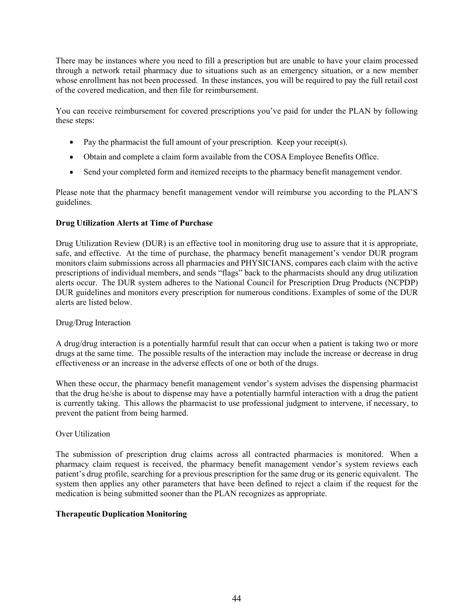There may be instances where you need to fill a prescription but are unable to have your claim processed through a network retail pharmacy due to situations such as an emergency situation, or a new member whose enrollment has not been processed. In these instances, you will be required to pay the full retail cost of the covered medication, and then file for reimbursement.

You can receive reimbursement for covered prescriptions you've paid for under the PLAN by following these steps:

- Pay the pharmacist the full amount of your prescription. Keep your receipt(s).
- Obtain and complete a claim form available from the COSA Employee Benefits Office.
- Send your completed form and itemized receipts to the pharmacy benefit management vendor.

Please note that the pharmacy benefit management vendor will reimburse you according to the PLAN'S guidelines.

## Drug Utilization Alerts at Time of Purchase

Drug Utilization Review (DUR) is an effective tool in monitoring drug use to assure that it is appropriate, safe, and effective. At the time of purchase, the pharmacy benefit management's vendor DUR program monitors claim submissions across all pharmacies and PHYSICIANS, compares each claim with the active prescriptions of individual members, and sends "flags" back to the pharmacists should any drug utilization alerts occur. The DUR system adheres to the National Council for Prescription Drug Products (NCPDP) DUR guidelines and monitors every prescription for numerous conditions. Examples of some of the DUR alerts are listed below.

#### Drug/Drug Interaction

A drug/drug interaction is a potentially harmful result that can occur when a patient is taking two or more drugs at the same time. The possible results of the interaction may include the increase or decrease in drug effectiveness or an increase in the adverse effects of one or both of the drugs.

When these occur, the pharmacy benefit management vendor's system advises the dispensing pharmacist that the drug he/she is about to dispense may have a potentially harmful interaction with a drug the patient is currently taking. This allows the pharmacist to use professional judgment to intervene, if necessary, to prevent the patient from being harmed.

## Over Utilization

The submission of prescription drug claims across all contracted pharmacies is monitored. When a pharmacy claim request is received, the pharmacy benefit management vendor's system reviews each patient's drug profile, searching for a previous prescription for the same drug or its generic equivalent. The system then applies any other parameters that have been defined to reject a claim if the request for the medication is being submitted sooner than the PLAN recognizes as appropriate.

## Therapeutic Duplication Monitoring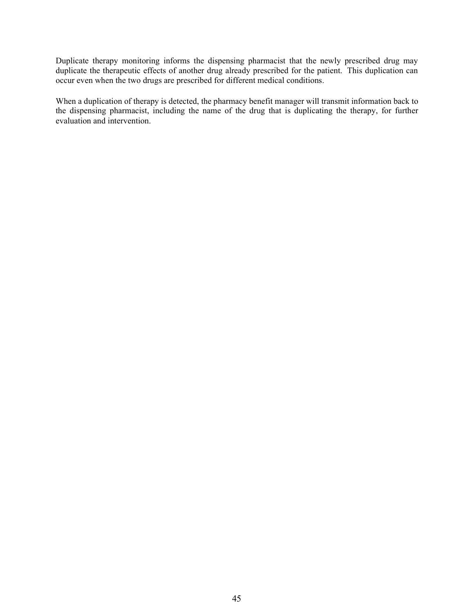Duplicate therapy monitoring informs the dispensing pharmacist that the newly prescribed drug may duplicate the therapeutic effects of another drug already prescribed for the patient. This duplication can occur even when the two drugs are prescribed for different medical conditions.

When a duplication of therapy is detected, the pharmacy benefit manager will transmit information back to the dispensing pharmacist, including the name of the drug that is duplicating the therapy, for further evaluation and intervention.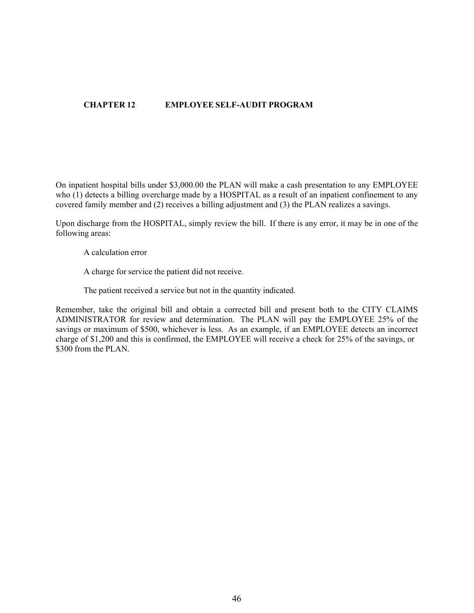# CHAPTER 12 EMPLOYEE SELF-AUDIT PROGRAM

On inpatient hospital bills under \$3,000.00 the PLAN will make a cash presentation to any EMPLOYEE who (1) detects a billing overcharge made by a HOSPITAL as a result of an inpatient confinement to any covered family member and (2) receives a billing adjustment and (3) the PLAN realizes a savings.

Upon discharge from the HOSPITAL, simply review the bill. If there is any error, it may be in one of the following areas:

A calculation error

A charge for service the patient did not receive.

The patient received a service but not in the quantity indicated.

Remember, take the original bill and obtain a corrected bill and present both to the CITY CLAIMS ADMINISTRATOR for review and determination. The PLAN will pay the EMPLOYEE 25% of the savings or maximum of \$500, whichever is less. As an example, if an EMPLOYEE detects an incorrect charge of \$1,200 and this is confirmed, the EMPLOYEE will receive a check for 25% of the savings, or \$300 from the PLAN.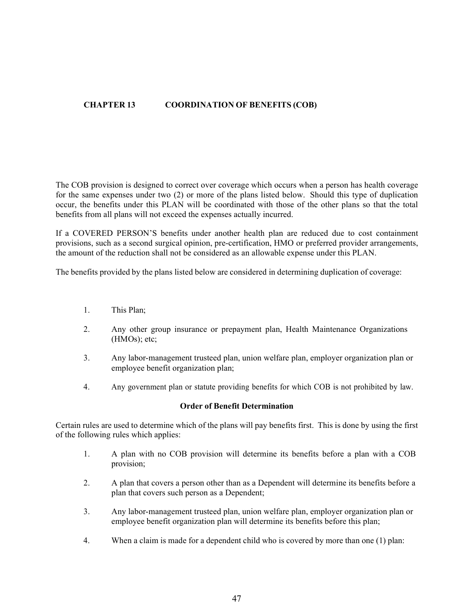# CHAPTER 13 COORDINATION OF BENEFITS (COB)

The COB provision is designed to correct over coverage which occurs when a person has health coverage for the same expenses under two (2) or more of the plans listed below. Should this type of duplication occur, the benefits under this PLAN will be coordinated with those of the other plans so that the total benefits from all plans will not exceed the expenses actually incurred. by observe a concert over the plans listed below. Should this type of duplication<br>and eventes under two (2) or more of the plans listed below. Should this type of duplication<br>from all plans will not exceed the expenses act

If a COVERED PERSON'S benefits under another health plan are reduced due to cost containment provisions, such as a second surgical opinion, pre-certification, HMO or preferred provider arrangements, the amount of the reduction shall not be considered as an allowable expense under this PLAN.

The benefits provided by the plans listed below are considered in determining duplication of coverage:

- 1. This Plan;
- 2. Any other group insurance or prepayment plan, Health Maintenance Organizations (HMOs); etc;
- 3. Any labor-management trusteed plan, union welfare plan, employer organization plan or employee benefit organization plan;
- 

#### Order of Benefit Determination

Certain rules are used to determine which of the plans will pay benefits first. This is done by using the first of the following rules which applies:

- 1. A plan with no COB provision will determine its benefits before a plan with a COB provision;
- 2. A plan that covers a person other than as a Dependent will determine its benefits before a plan that covers such person as a Dependent;
- 3. Any labor-management trusteed plan, union welfare plan, employer organization plan or employee benefit organization plan will determine its benefits before this plan;
- 4. When a claim is made for a dependent child who is covered by more than one (1) plan: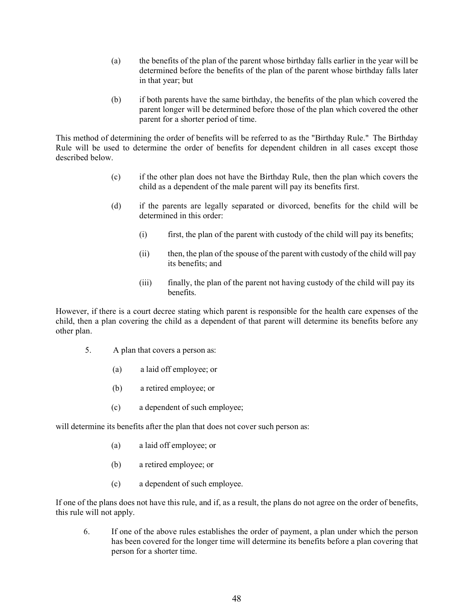- (a) the benefits of the plan of the parent whose birthday falls earlier in the year will be determined before the benefits of the plan of the parent whose birthday falls later in that year; but
- (b) if both parents have the same birthday, the benefits of the plan which covered the parent longer will be determined before those of the plan which covered the other parent for a shorter period of time.

This method of determining the order of benefits will be referred to as the "Birthday Rule." The Birthday Rule will be used to determine the order of benefits for dependent children in all cases except those described below.

- (c) if the other plan does not have the Birthday Rule, then the plan which covers the child as a dependent of the male parent will pay its benefits first.
- (d) if the parents are legally separated or divorced, benefits for the child will be determined in this order:
	- (i) first, the plan of the parent with custody of the child will pay its benefits;
	- (ii) then, the plan of the spouse of the parent with custody of the child will pay its benefits; and
	- (iii) finally, the plan of the parent not having custody of the child will pay its benefits.

However, if there is a court decree stating which parent is responsible for the health care expenses of the child, then a plan covering the child as a dependent of that parent will determine its benefits before any other plan.

- 5. A plan that covers a person as:
	- (a) a laid off employee; or
	- (b) a retired employee; or
	- (c) a dependent of such employee;

will determine its benefits after the plan that does not cover such person as:

- (a) a laid off employee; or
- (b) a retired employee; or
- (c) a dependent of such employee.

If one of the plans does not have this rule, and if, as a result, the plans do not agree on the order of benefits, this rule will not apply.

6. If one of the above rules establishes the order of payment, a plan under which the person has been covered for the longer time will determine its benefits before a plan covering that person for a shorter time.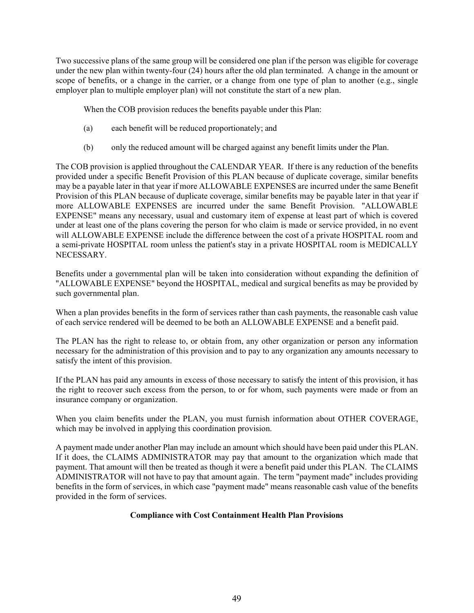Two successive plans of the same group will be considered one plan if the person was eligible for coverage under the new plan within twenty-four (24) hours after the old plan terminated. A change in the amount or scope of benefits, or a change in the carrier, or a change from one type of plan to another (e.g., single employer plan to multiple employer plan) will not constitute the start of a new plan.

When the COB provision reduces the benefits payable under this Plan:

- (a) each benefit will be reduced proportionately; and
- (b) only the reduced amount will be charged against any benefit limits under the Plan.

The COB provision is applied throughout the CALENDAR YEAR. If there is any reduction of the benefits provided under a specific Benefit Provision of this PLAN because of duplicate coverage, similar benefits may be a payable later in that year if more ALLOWABLE EXPENSES are incurred under the same Benefit Provision of this PLAN because of duplicate coverage, similar benefits may be payable later in that year if more ALLOWABLE EXPENSES are incurred under the same Benefit Provision. "ALLOWABLE EXPENSE" means any necessary, usual and customary item of expense at least part of which is covered under at least one of the plans covering the person for who claim is made or service provided, in no event will ALLOWABLE EXPENSE include the difference between the cost of a private HOSPITAL room and a semi-private HOSPITAL room unless the patient's stay in a private HOSPITAL room is MEDICALLY NECESSARY.

Benefits under a governmental plan will be taken into consideration without expanding the definition of "ALLOWABLE EXPENSE" beyond the HOSPITAL, medical and surgical benefits as may be provided by such governmental plan.

When a plan provides benefits in the form of services rather than cash payments, the reasonable cash value of each service rendered will be deemed to be both an ALLOWABLE EXPENSE and a benefit paid.

The PLAN has the right to release to, or obtain from, any other organization or person any information necessary for the administration of this provision and to pay to any organization any amounts necessary to satisfy the intent of this provision.

If the PLAN has paid any amounts in excess of those necessary to satisfy the intent of this provision, it has the right to recover such excess from the person, to or for whom, such payments were made or from an insurance company or organization.

When you claim benefits under the PLAN, you must furnish information about OTHER COVERAGE, which may be involved in applying this coordination provision.

A payment made under another Plan may include an amount which should have been paid under this PLAN. If it does, the CLAIMS ADMINISTRATOR may pay that amount to the organization which made that payment. That amount will then be treated as though it were a benefit paid under this PLAN. The CLAIMS ADMINISTRATOR will not have to pay that amount again. The term "payment made" includes providing benefits in the form of services, in which case "payment made" means reasonable cash value of the benefits provided in the form of services.

## Compliance with Cost Containment Health Plan Provisions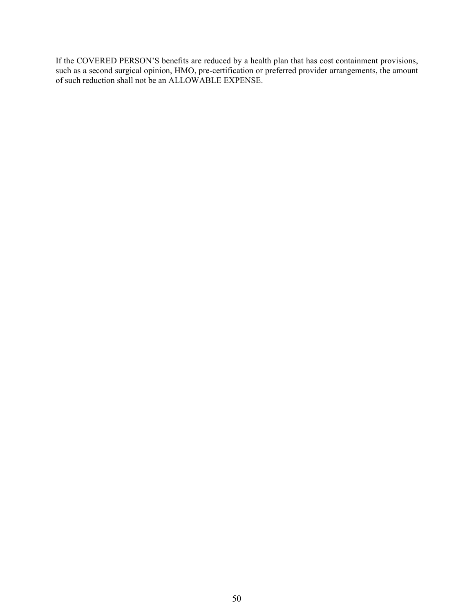If the COVERED PERSON'S benefits are reduced by a health plan that has cost containment provisions, such as a second surgical opinion, HMO, pre-certification or preferred provider arrangements, the amount of such reduction shall not be an ALLOWABLE EXPENSE.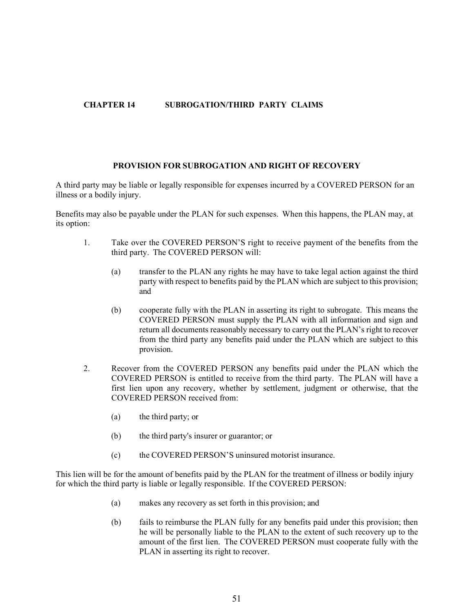# CHAPTER 14 SUBROGATION/THIRD PARTY CLAIMS

## PROVISION FOR SUBROGATION AND RIGHT OF RECOVERY

A third party may be liable or legally responsible for expenses incurred by a COVERED PERSON for an illness or a bodily injury.

Benefits may also be payable under the PLAN for such expenses. When this happens, the PLAN may, at its option:

- 1. Take over the COVERED PERSON'S right to receive payment of the benefits from the third party. The COVERED PERSON will:
	- (a) transfer to the PLAN any rights he may have to take legal action against the third party with respect to benefits paid by the PLAN which are subject to this provision; and
	- (b) cooperate fully with the PLAN in asserting its right to subrogate. This means the COVERED PERSON must supply the PLAN with all information and sign and return all documents reasonably necessary to carry out the PLAN's right to recover from the third party any benefits paid under the PLAN which are subject to this provision.
- 2. Recover from the COVERED PERSON any benefits paid under the PLAN which the COVERED PERSON is entitled to receive from the third party. The PLAN will have a first lien upon any recovery, whether by settlement, judgment or otherwise, that the COVERED PERSON received from:
	- (a) the third party; or
	- (b) the third party's insurer or guarantor; or
	- (c) the COVERED PERSON'S uninsured motorist insurance.

This lien will be for the amount of benefits paid by the PLAN for the treatment of illness or bodily injury for which the third party is liable or legally responsible. If the COVERED PERSON:

- (a) makes any recovery as set forth in this provision; and
- (b) fails to reimburse the PLAN fully for any benefits paid under this provision; then he will be personally liable to the PLAN to the extent of such recovery up to the amount of the first lien. The COVERED PERSON must cooperate fully with the PLAN in asserting its right to recover.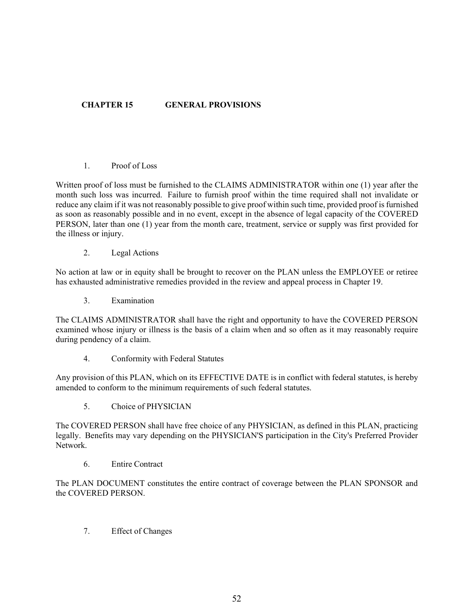# CHAPTER 15 GENERAL PROVISIONS

## 1. Proof of Loss

Written proof of loss must be furnished to the CLAIMS ADMINISTRATOR within one (1) year after the month such loss was incurred. Failure to furnish proof within the time required shall not invalidate or reduce any claim if it was not reasonably possible to give proof within such time, provided proof is furnished as soon as reasonably possible and in no event, except in the absence of legal capacity of the COVERED PERSON, later than one (1) year from the month care, treatment, service or supply was first provided for the illness or injury.

2. Legal Actions

No action at law or in equity shall be brought to recover on the PLAN unless the EMPLOYEE or retiree has exhausted administrative remedies provided in the review and appeal process in Chapter 19.

3. Examination

The CLAIMS ADMINISTRATOR shall have the right and opportunity to have the COVERED PERSON examined whose injury or illness is the basis of a claim when and so often as it may reasonably require during pendency of a claim.

4. Conformity with Federal Statutes

Any provision of this PLAN, which on its EFFECTIVE DATE is in conflict with federal statutes, is hereby amended to conform to the minimum requirements of such federal statutes.

5. Choice of PHYSICIAN

The COVERED PERSON shall have free choice of any PHYSICIAN, as defined in this PLAN, practicing legally. Benefits may vary depending on the PHYSICIAN'S participation in the City's Preferred Provider Network.

6. Entire Contract

The PLAN DOCUMENT constitutes the entire contract of coverage between the PLAN SPONSOR and the COVERED PERSON.

7. Effect of Changes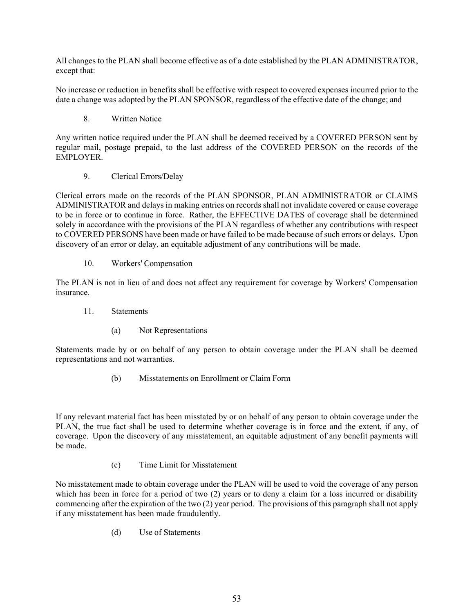All changes to the PLAN shall become effective as of a date established by the PLAN ADMINISTRATOR, except that:

No increase or reduction in benefits shall be effective with respect to covered expenses incurred prior to the date a change was adopted by the PLAN SPONSOR, regardless of the effective date of the change; and

8. Written Notice

Any written notice required under the PLAN shall be deemed received by a COVERED PERSON sent by regular mail, postage prepaid, to the last address of the COVERED PERSON on the records of the EMPLOYER.

9. Clerical Errors/Delay

Clerical errors made on the records of the PLAN SPONSOR, PLAN ADMINISTRATOR or CLAIMS ADMINISTRATOR and delays in making entries on records shall not invalidate covered or cause coverage to be in force or to continue in force. Rather, the EFFECTIVE DATES of coverage shall be determined solely in accordance with the provisions of the PLAN regardless of whether any contributions with respect to COVERED PERSONS have been made or have failed to be made because of such errors or delays. Upon discovery of an error or delay, an equitable adjustment of any contributions will be made.

10. Workers' Compensation

The PLAN is not in lieu of and does not affect any requirement for coverage by Workers' Compensation insurance.

- 11. Statements
	- (a) Not Representations

Statements made by or on behalf of any person to obtain coverage under the PLAN shall be deemed representations and not warranties.

(b) Misstatements on Enrollment or Claim Form

If any relevant material fact has been misstated by or on behalf of any person to obtain coverage under the PLAN, the true fact shall be used to determine whether coverage is in force and the extent, if any, of coverage. Upon the discovery of any misstatement, an equitable adjustment of any benefit payments will be made.

(c) Time Limit for Misstatement

No misstatement made to obtain coverage under the PLAN will be used to void the coverage of any person which has been in force for a period of two (2) years or to deny a claim for a loss incurred or disability commencing after the expiration of the two (2) year period. The provisions of this paragraph shall not apply if any misstatement has been made fraudulently.

(d) Use of Statements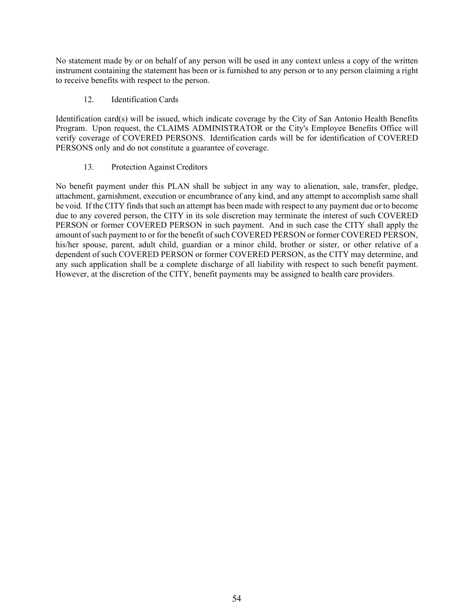No statement made by or on behalf of any person will be used in any context unless a copy of the written instrument containing the statement has been or is furnished to any person or to any person claiming a right to receive benefits with respect to the person.

## 12. Identification Cards

Identification card(s) will be issued, which indicate coverage by the City of San Antonio Health Benefits Program. Upon request, the CLAIMS ADMINISTRATOR or the City's Employee Benefits Office will verify coverage of COVERED PERSONS. Identification cards will be for identification of COVERED PERSONS only and do not constitute a guarantee of coverage.

# 13. Protection Against Creditors

No benefit payment under this PLAN shall be subject in any way to alienation, sale, transfer, pledge, attachment, garnishment, execution or encumbrance of any kind, and any attempt to accomplish same shall be void. If the CITY finds that such an attempt has been made with respect to any payment due or to become due to any covered person, the CITY in its sole discretion may terminate the interest of such COVERED PERSON or former COVERED PERSON in such payment. And in such case the CITY shall apply the amount of such payment to or for the benefit of such COVERED PERSON or former COVERED PERSON, his/her spouse, parent, adult child, guardian or a minor child, brother or sister, or other relative of a dependent of such COVERED PERSON or former COVERED PERSON, as the CITY may determine, and any such application shall be a complete discharge of all liability with respect to such benefit payment. However, at the discretion of the CITY, benefit payments may be assigned to health care providers.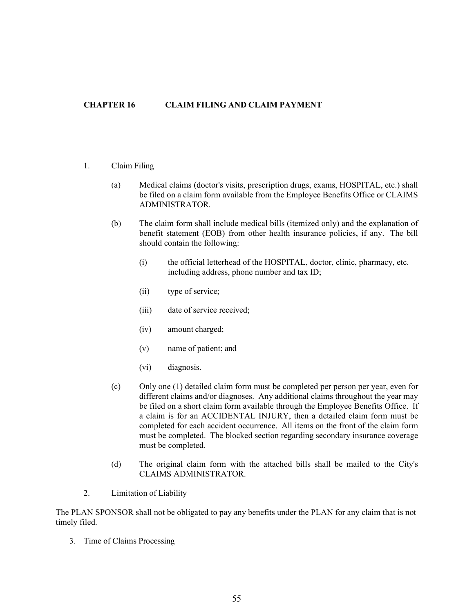# CHAPTER 16 CLAIM FILING AND CLAIM PAYMENT

- 1. Claim Filing
	- (a) Medical claims (doctor's visits, prescription drugs, exams, HOSPITAL, etc.) shall be filed on a claim form available from the Employee Benefits Office or CLAIMS ADMINISTRATOR.
	- (b) The claim form shall include medical bills (itemized only) and the explanation of benefit statement (EOB) from other health insurance policies, if any. The bill should contain the following:
		- (i) the official letterhead of the HOSPITAL, doctor, clinic, pharmacy, etc. including address, phone number and tax ID;
		- (ii) type of service;
		- (iii) date of service received;
		- (iv) amount charged;
		- (v) name of patient; and
		- (vi) diagnosis.
	- (c) Only one (1) detailed claim form must be completed per person per year, even for different claims and/or diagnoses. Any additional claims throughout the year may be filed on a short claim form available through the Employee Benefits Office. If a claim is for an ACCIDENTAL INJURY, then a detailed claim form must be completed for each accident occurrence. All items on the front of the claim form must be completed. The blocked section regarding secondary insurance coverage must be completed.
	- (d) The original claim form with the attached bills shall be mailed to the City's CLAIMS ADMINISTRATOR.
- 2. Limitation of Liability

The PLAN SPONSOR shall not be obligated to pay any benefits under the PLAN for any claim that is not timely filed.

3. Time of Claims Processing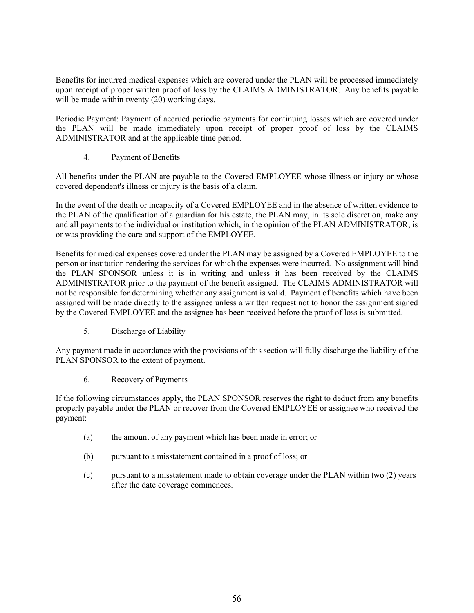Benefits for incurred medical expenses which are covered under the PLAN will be processed immediately upon receipt of proper written proof of loss by the CLAIMS ADMINISTRATOR. Any benefits payable will be made within twenty (20) working days.

Periodic Payment: Payment of accrued periodic payments for continuing losses which are covered under the PLAN will be made immediately upon receipt of proper proof of loss by the CLAIMS ADMINISTRATOR and at the applicable time period.

4. Payment of Benefits

All benefits under the PLAN are payable to the Covered EMPLOYEE whose illness or injury or whose covered dependent's illness or injury is the basis of a claim.

In the event of the death or incapacity of a Covered EMPLOYEE and in the absence of written evidence to the PLAN of the qualification of a guardian for his estate, the PLAN may, in its sole discretion, make any and all payments to the individual or institution which, in the opinion of the PLAN ADMINISTRATOR, is or was providing the care and support of the EMPLOYEE.

Benefits for medical expenses covered under the PLAN may be assigned by a Covered EMPLOYEE to the person or institution rendering the services for which the expenses were incurred. No assignment will bind the PLAN SPONSOR unless it is in writing and unless it has been received by the CLAIMS ADMINISTRATOR prior to the payment of the benefit assigned. The CLAIMS ADMINISTRATOR will not be responsible for determining whether any assignment is valid. Payment of benefits which have been assigned will be made directly to the assignee unless a written request not to honor the assignment signed by the Covered EMPLOYEE and the assignee has been received before the proof of loss is submitted.

5. Discharge of Liability

Any payment made in accordance with the provisions of this section will fully discharge the liability of the PLAN SPONSOR to the extent of payment.

6. Recovery of Payments

If the following circumstances apply, the PLAN SPONSOR reserves the right to deduct from any benefits properly payable under the PLAN or recover from the Covered EMPLOYEE or assignee who received the payment:

- (a) the amount of any payment which has been made in error; or
- (b) pursuant to a misstatement contained in a proof of loss; or
- (c) pursuant to a misstatement made to obtain coverage under the PLAN within two (2) years after the date coverage commences.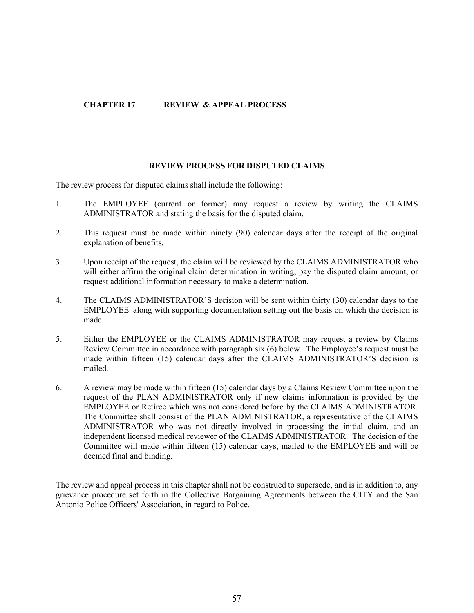# CHAPTER 17 REVIEW & APPEAL PROCESS

#### REVIEW PROCESS FOR DISPUTED CLAIMS

The review process for disputed claims shall include the following:

- 1. The EMPLOYEE (current or former) may request a review by writing the CLAIMS ADMINISTRATOR and stating the basis for the disputed claim.
- 2. This request must be made within ninety (90) calendar days after the receipt of the original explanation of benefits.
- 3. Upon receipt of the request, the claim will be reviewed by the CLAIMS ADMINISTRATOR who will either affirm the original claim determination in writing, pay the disputed claim amount, or request additional information necessary to make a determination.
- 4. The CLAIMS ADMINISTRATOR'S decision will be sent within thirty (30) calendar days to the EMPLOYEE along with supporting documentation setting out the basis on which the decision is made.
- 5. Either the EMPLOYEE or the CLAIMS ADMINISTRATOR may request a review by Claims Review Committee in accordance with paragraph six  $(6)$  below. The Employee's request must be made within fifteen (15) calendar days after the CLAIMS ADMINISTRATOR'S decision is mailed.
- 6. A review may be made within fifteen (15) calendar days by a Claims Review Committee upon the request of the PLAN ADMINISTRATOR only if new claims information is provided by the EMPLOYEE or Retiree which was not considered before by the CLAIMS ADMINISTRATOR. The Committee shall consist of the PLAN ADMINISTRATOR, a representative of the CLAIMS ADMINISTRATOR who was not directly involved in processing the initial claim, and an independent licensed medical reviewer of the CLAIMS ADMINISTRATOR. The decision of the Committee will made within fifteen (15) calendar days, mailed to the EMPLOYEE and will be deemed final and binding.

The review and appeal process in this chapter shall not be construed to supersede, and is in addition to, any grievance procedure set forth in the Collective Bargaining Agreements between the CITY and the San Antonio Police Officers' Association, in regard to Police.